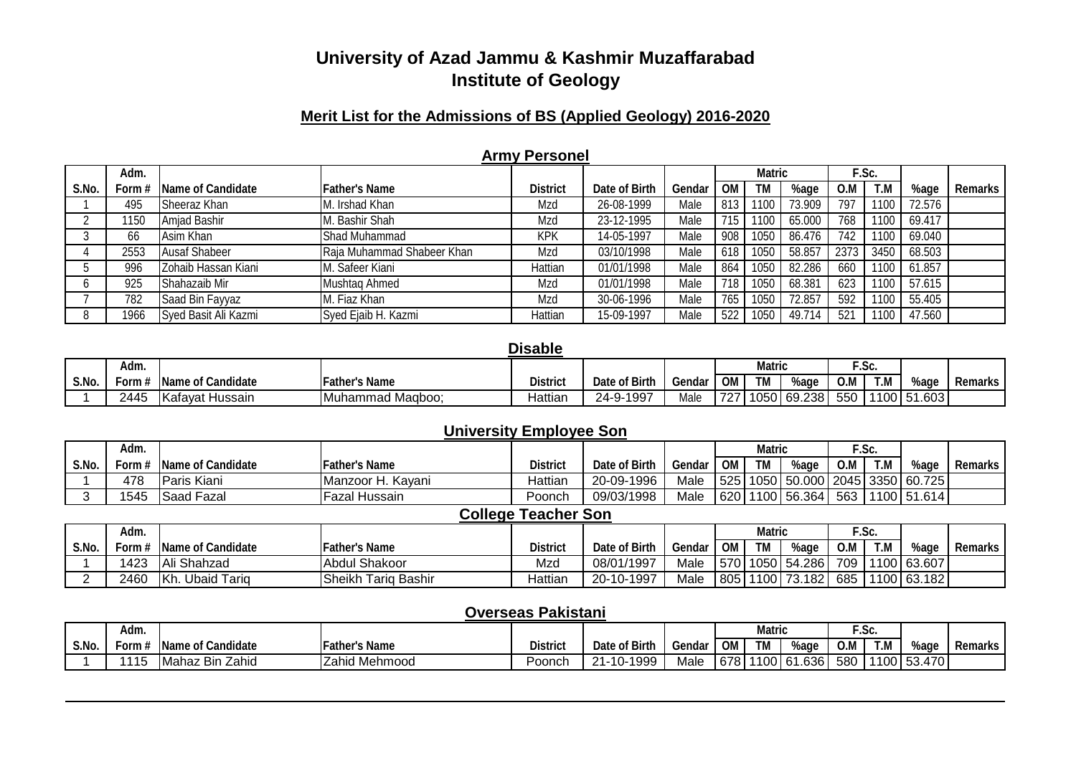#### **Merit List for the Admissions of BS (Applied Geology) 2016-2020**

|       |        |                      |                            | <b>ATTILY LASSICE</b> |               |        |           |               |        |      |       |        |         |
|-------|--------|----------------------|----------------------------|-----------------------|---------------|--------|-----------|---------------|--------|------|-------|--------|---------|
|       | Adm.   |                      |                            |                       |               |        |           | <b>Matric</b> |        |      | F.Sc. |        |         |
| S.No. | Form # | Name of Candidate    | <b>Father's Name</b>       | <b>District</b>       | Date of Birth | Gendar | <b>OM</b> | TM            | %age   | 0.M  | T.M   | %age   | Remarks |
|       | 495    | Sheeraz Khan         | . Irshad Khan              | Mzd                   | 26-08-1999    | Male   | 813       | 1100          | 73.909 | 797  | 1100  | 72.576 |         |
|       | 1150   | Amjad Bashir         | M. Bashir Shah             | Mzd                   | 23-12-1995    | Male   | 715       | 1100          | 65.000 | 768  | 1100  | 69.417 |         |
|       | 66     | Asim Khan            | Shad Muhammad              | <b>KPK</b>            | 14-05-1997    | Male   | 908       | 1050          | 86.476 | 742  | 1100  | 69.040 |         |
|       | 2553   | <b>Ausaf Shabeer</b> | Raja Muhammad Shabeer Khan | Mzd                   | 03/10/1998    | Male   | 618       | 1050          | 58.857 | 2373 | 3450  | 68.503 |         |
|       | 996    | Zohaib Hassan Kiani  | . Safeer Kiani             | Hattian               | 01/01/1998    | Male   | 864       | 1050          | 82.286 | 660  | 1100  | 61.857 |         |
|       | 925    | Shahazaib Mir        | Mushtag Ahmed              | Mzd                   | 01/01/1998    | Male   | 718       | 1050          | 68.381 | 623  | 1100  | 57.615 |         |
|       | 782    | Saad Bin Fayyaz      | M. Fiaz Khan               | Mzd                   | 30-06-1996    | Male   | 765       | 1050          | 72.857 | 592  | 1100  | 55.405 |         |
|       | 1966   | Syed Basit Ali Kazmi | Syed Ejaib H. Kazmi        | Hattian               | 15-09-1997    | Male   |           | 1050          | 49.714 | 521  | 1100  | 47.560 |         |

#### **Army Personel**

#### **Disable**

|       | Adm.       |                                       |                        |                 |                               |        |           | Matric |               |     | .טט.      |        |         |
|-------|------------|---------------------------------------|------------------------|-----------------|-------------------------------|--------|-----------|--------|---------------|-----|-----------|--------|---------|
| S.No. | -orm       | <sup>f</sup> Candidate<br><b>Name</b> | <b>Father's Name</b>   | <b>District</b> | Date of Birth                 | Gendar | <b>OM</b> | TM     | %age          | O.M | T.M       | %aqu   | Remarks |
|       | 2445<br>т. | Kafavat Hussain<br>- Ndiv             | l Magboo:<br>IMuhammad | Hattian         | $-1997$<br>$24-9$<br><u>.</u> | Male   | 727       |        | $1050$ 69.238 | 550 | $'100$ 5. | .1.603 |         |

#### **University Employee Son**

|       | Adm.  |                   |                      |                 |               |        |           | Matric    |             |     | ™.Sc. |                                      |         |
|-------|-------|-------------------|----------------------|-----------------|---------------|--------|-----------|-----------|-------------|-----|-------|--------------------------------------|---------|
| S.No. | Form: | Name of Candidate | <b>Father's Name</b> | <b>District</b> | Date of Birth | Gendar | <b>OM</b> | <b>TM</b> | %age        | O.M | T.M   | %aɑe                                 | Remarks |
|       | 478   | Paris Kiani       | Manzoor H. Kavani    | Hattian         | 20-09-1996    | Male   | 525       |           |             |     |       | 1050   50.000   2045   3350   60.725 |         |
|       | 1545  | <b>Saad Fazal</b> | Fazal Hussain        | Poonch          | 09/03/1998    | Male   | 620       |           | 1100 56.364 | 563 |       | 1100 51.614                          |         |

#### **College Teacher Son**

|       | Adm. |                           |                        |                 |               |        |           | Matric |               |     | . ب |             |                |
|-------|------|---------------------------|------------------------|-----------------|---------------|--------|-----------|--------|---------------|-----|-----|-------------|----------------|
| S.No. | ∙orm | Name of Candidate         | Father's Name          | <b>District</b> | Date of Birth | Gendar | <b>OM</b> | TM     | %age          | 0.M | T.M | %aq∈        | <b>Remarks</b> |
|       | 1423 | Ali Shahzad               | <b>Abdul Shakoor</b>   | Mzd             | 08/01/1997    | Male   | 570       |        | 1050 54.286   | 709 |     | 1100 63.607 |                |
|       | 2460 | Ubaid Tariq<br><b>IKh</b> | Sheikh<br>Tarig Bashir | Hattian         | 20-10-1997    | Male   | 805       |        | $1100$ 73.182 | 685 |     | 1100 63.182 |                |

#### **Overseas Pakistani**

|       | Adm. |                                       |                      |                 |                                        |        |           | <b>Matric</b> |      |     | $\sim$<br>. ت. |        |         |
|-------|------|---------------------------------------|----------------------|-----------------|----------------------------------------|--------|-----------|---------------|------|-----|----------------|--------|---------|
| S.No. | ∙orm | <sup>f</sup> Candidate<br><b>Name</b> | <b>Father's Name</b> | <b>District</b> | Date of Birth                          | Gendar | <b>OM</b> | <b>TM</b>     | %aa∈ | 0.M | T.M            | %age   | Remarks |
|       | 1115 | <b>Bin Zahid</b><br>— uvlah≏⊤ 1       | <b>Zahid Mehmood</b> | ⊃oonch          | -1999<br>- <b>1-10-</b> 11<br>$\Omega$ | Male   | 678 I     | 110016'<br>vv | 636  | 580 | 1100 53.       | 53.470 |         |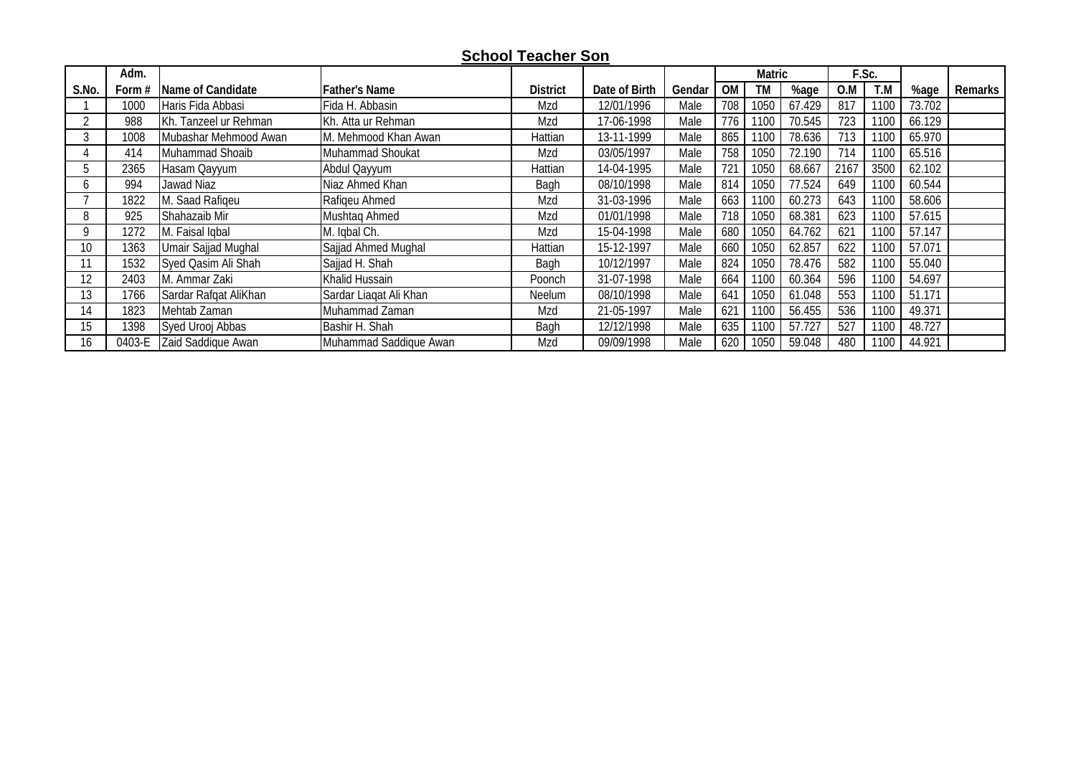## **School Teacher Son**

|       | Adm.     |                          |                        |                 |               |        |           | Matric |        |      | F.Sc. |        |         |
|-------|----------|--------------------------|------------------------|-----------------|---------------|--------|-----------|--------|--------|------|-------|--------|---------|
| S.No. | Form $#$ | <b>Name of Candidate</b> | <b>Father's Name</b>   | <b>District</b> | Date of Birth | Gendar | <b>OM</b> | TM     | %age   | 0.M  | T.M   | %age   | Remarks |
|       | 1000     | Haris Fida Abbasi        | Fida H. Abbasin        | Mzd             | 12/01/1996    | Male   | 708       | 1050   | 67.429 | 817  | 1100  | 73.702 |         |
|       | 988      | Kh. Tanzeel ur Rehman    | Kh. Atta ur Rehman     | Mzd             | 17-06-1998    | Male   | 776       | 1100   | 70.545 | 723  | 1100  | 66.129 |         |
|       | 1008     | Mubashar Mehmood Awan    | M. Mehmood Khan Awan   | Hattian         | 13-11-1999    | Male   | 865       | 1100   | 78.636 | 713  | 1100  | 65.970 |         |
|       | 414      | Muhammad Shoaib          | Muhammad Shoukat       | Mzd             | 03/05/1997    | Male   | 758       | 1050   | 72.190 | 714  | 1100  | 65.516 |         |
|       | 2365     | Hasam Qayyum             | Abdul Qayyum           | Hattian         | 14-04-1995    | Male   | 721       | 1050   | 68.667 | 2167 | 3500  | 62.102 |         |
|       | 994      | Jawad Niaz               | Niaz Ahmed Khan        | Bagh            | 08/10/1998    | Male   | 814       | 1050   | 77.524 | 649  | 1100  | 60.544 |         |
|       | 1822     | M. Saad Rafigeu          | Rafigeu Ahmed          | Mzd             | 31-03-1996    | Male   | 663       | 1100   | 60.273 | 643  | 1100  | 58.606 |         |
|       | 925      | Shahazaib Mir            | Mushtaq Ahmed          | Mzd             | 01/01/1998    | Male   | 718       | 1050   | 68.381 | 623  | 1100  | 57.615 |         |
|       | 1272     | M. Faisal Iqbal          | M. Iqbal Ch.           | Mzd             | 15-04-1998    | Male   | 680       | 1050   | 64.762 | 621  | 1100  | 57.147 |         |
| 10    | 1363     | Umair Sajjad Mughal      | Sajjad Ahmed Mughal    | Hattian         | 15-12-1997    | Male   | 660       | 1050   | 62.857 | 622  | 1100  | 57.071 |         |
|       | 1532     | Syed Qasim Ali Shah      | Sajjad H. Shah         | Bagh            | 10/12/1997    | Male   | 824       | 1050   | 78.476 | 582  | 1100  | 55.040 |         |
| 12    | 2403     | M. Ammar Zaki            | Khalid Hussain         | Poonch          | 31-07-1998    | Male   | 664       | 1100   | 60.364 | 596  | 1100  | 54.697 |         |
| 13    | 1766     | Sardar Rafgat AliKhan    | Sardar Liagat Ali Khan | Neelum          | 08/10/1998    | Male   | 641       | 1050   | 61.048 | 553  | 1100  | 51.171 |         |
| 14    | 1823     | Mehtab Zaman             | Muhammad Zaman         | Mzd             | 21-05-1997    | Male   | 621       | 1100   | 56.455 | 536  | 1100  | 49.371 |         |
| 15    | 1398     | Syed Urooj Abbas         | Bashir H. Shah         | Bagh            | 12/12/1998    | Male   | 635       | 1100   | 57.727 | 527  | 1100  | 48.727 |         |
| 16    | 0403-E   | Zaid Saddique Awan       | Muhammad Saddique Awan | Mzd             | 09/09/1998    | Male   | 620       | 1050   | 59.048 | 480  | 1100  | 44.921 |         |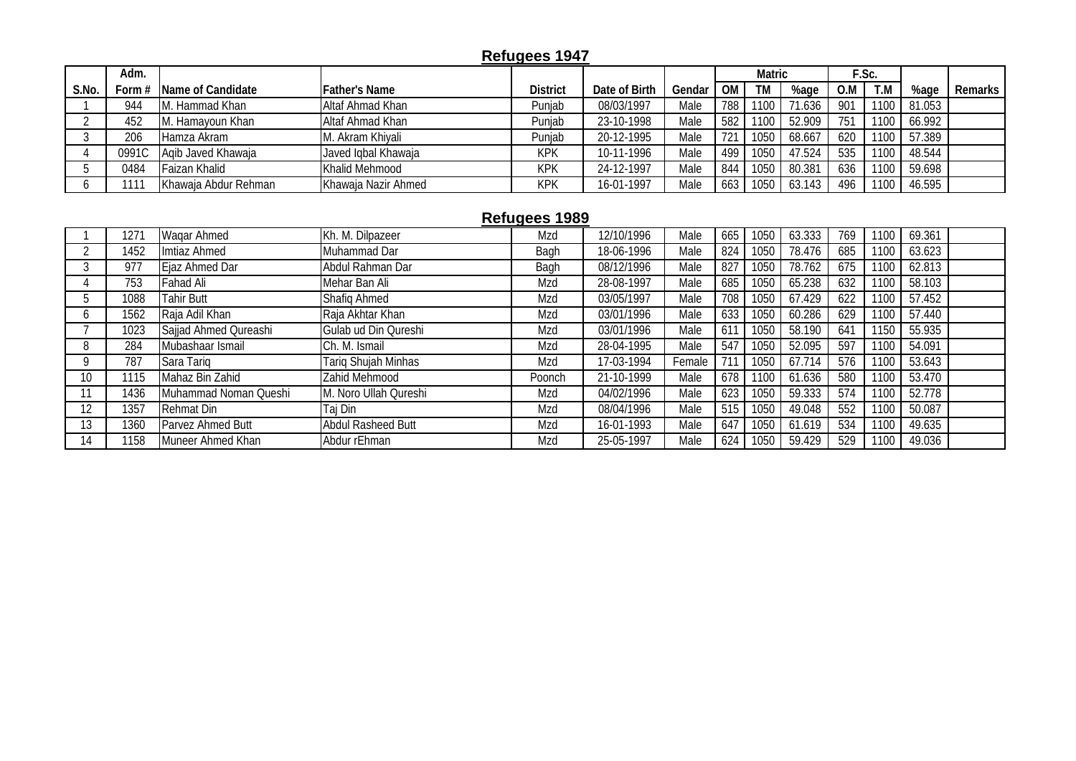# **Refugees 1947**

|       | Adm.   |                        |                      |                 |               |        |     | <b>Matric</b> |        |     | E.Sc. |        |           |
|-------|--------|------------------------|----------------------|-----------------|---------------|--------|-----|---------------|--------|-----|-------|--------|-----------|
| S.No. | Form # | Name of Candidate      | <b>Father's Name</b> | <b>District</b> | Date of Birth | Gendar | OM  | TM            | %age   | 0.M | T.M   | %age   | Remarks I |
|       | 944    | M. Hammad Khan         | Altaf Ahmad Khan     | Punjab          | 08/03/1997    | Male   | 788 | 1100          | 71.636 | 901 | 1100  | 81.053 |           |
|       | 452    | . Hamayoun Khan<br>IM. | Altaf Ahmad Khan     | Punjab          | 23-10-1998    | Male   | 582 | 1100          | 52.909 | 751 | 1100  | 66.992 |           |
|       | 206    | Hamza Akram            | M. Akram Khiyali     | Punjab          | 20-12-1995    | Male   |     | 1050          | 68.667 | 620 | 1100  | 57.389 |           |
|       | 0991C  | Agib Javed Khawaja     | Javed Iqbal Khawaja  | <b>KPK</b>      | 10-11-1996    | Male   | 499 | 1050          | 47.524 | 535 | 1100  | 48.544 |           |
|       | 0484   | Faizan Khalid          | Khalid Mehmood       | <b>KPK</b>      | 24-12-1997    | Male   | 844 | 1050          | 80.381 | 636 | 1100  | 59.698 |           |
|       |        | Khawaja Abdur Rehman   | Khawaja Nazir Ahmed  | <b>KPK</b>      | 16-01-1997    | Male   | 663 | 1050          | 63.143 | 496 | 1100  | 46.595 |           |

#### **Refugees 1989**

|    | 1271 | Wagar Ahmed           | Kh. M. Dilpazeer          | Mzd    | 12/10/1996 | Male   | 665             | 1050 | 63.333 | 769 | 100 | 69.361 |  |
|----|------|-----------------------|---------------------------|--------|------------|--------|-----------------|------|--------|-----|-----|--------|--|
|    | 1452 | Imtiaz Ahmed          | Muhammad Dar              | Bagh   | 18-06-1996 | Male   | 824             | 1050 | 78.476 | 685 | 100 | 63.623 |  |
|    | 977  | Ejaz Ahmed Dar        | Abdul Rahman Dar          | Bagh   | 08/12/1996 | Male   | 827             | 1050 | 78.762 | 675 | 100 | 62.813 |  |
|    | 753  | <b>Fahad Ali</b>      | Mehar Ban Ali             | Mzd    | 28-08-1997 | Male   | 685             | 1050 | 65.238 | 632 | 100 | 58.103 |  |
|    | 1088 | <b>Tahir Butt</b>     | <b>Shafiq Ahmed</b>       | Mzd    | 03/05/1997 | Male   | 708             | 1050 | 67.429 | 622 | 100 | 57.452 |  |
|    | 1562 | Raja Adil Khan        | Raja Akhtar Khan          | Mzd    | 03/01/1996 | Male   | 633             | 1050 | 60.286 | 629 | 100 | 57.440 |  |
|    | 1023 | Sajjad Ahmed Qureashi | Gulab ud Din Qureshi      | Mzd    | 03/01/1996 | Male   | 61 <sup>2</sup> | 1050 | 58.190 | 641 | 150 | 55.935 |  |
|    | 284  | Mubashaar Ismail      | Ch. M. Ismail             | Mzd    | 28-04-1995 | Male   | 547             | 1050 | 52.095 | 597 | 100 | 54.091 |  |
|    | 787  | Sara Tarig            | Tariq Shujah Minhas       | Mzd    | 17-03-1994 | Female |                 | 1050 | 67.714 | 576 | 100 | 53.643 |  |
| 10 | 1115 | Mahaz Bin Zahid       | Zahid Mehmood             | Poonch | 21-10-1999 | Male   | 678             | 1100 | 61.636 | 580 | 100 | 53.470 |  |
|    | 1436 | Muhammad Noman Queshi | M. Noro Ullah Qureshi     | Mzd    | 04/02/1996 | Male   | 623             | 1050 | 59.333 | 574 | 100 | 52.778 |  |
| 12 | 1357 | Rehmat Din            | Taj Din                   | Mzd    | 08/04/1996 | Male   | 515             | 1050 | 49.048 | 552 | 100 | 50.087 |  |
| 13 | 1360 | Parvez Ahmed Butt     | <b>Abdul Rasheed Butt</b> | Mzd    | 16-01-1993 | Male   | 647             | 1050 | 61.619 | 534 | 100 | 49.635 |  |
| 14 | 1158 | Muneer Ahmed Khan     | Abdur rEhman              | Mzd    | 25-05-1997 | Male   | 624             | 1050 | 59.429 | 529 | 100 | 49.036 |  |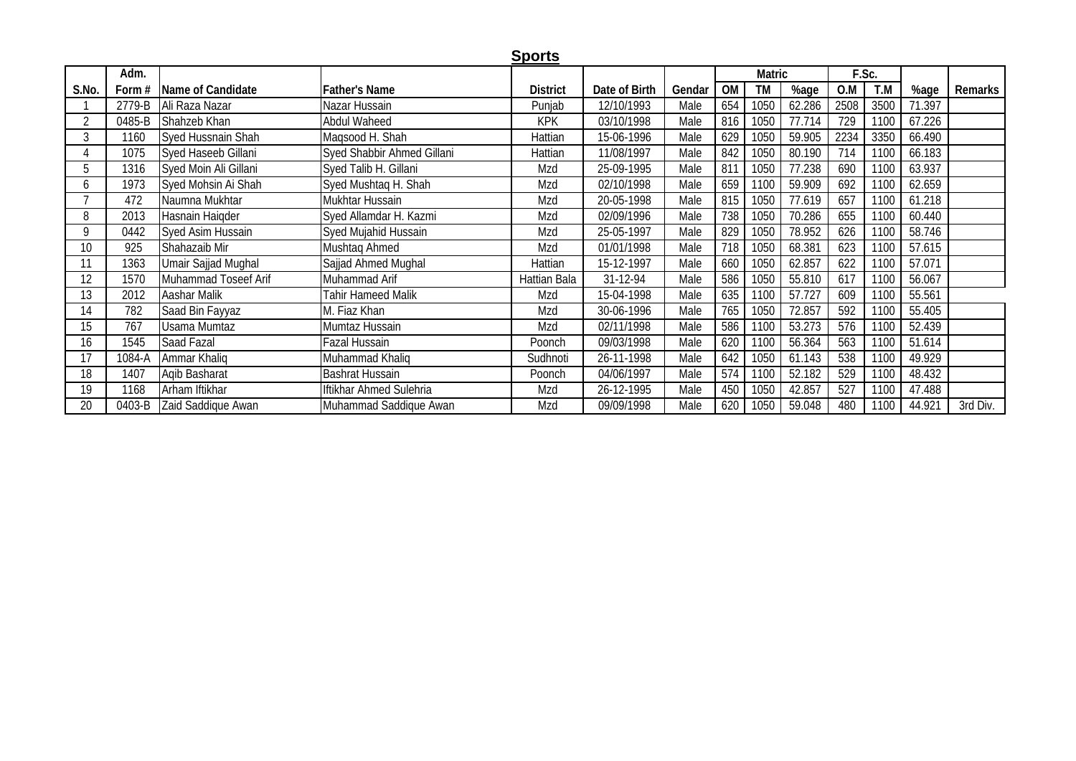|       |          |                       |                            | <b>Sports</b>   |               |        |           |        |        |       |      |        |          |
|-------|----------|-----------------------|----------------------------|-----------------|---------------|--------|-----------|--------|--------|-------|------|--------|----------|
|       | Adm.     |                       |                            |                 |               |        |           | Matric |        | F.Sc. |      |        |          |
| S.No. | Form $#$ | Name of Candidate     | <b>Father's Name</b>       | <b>District</b> | Date of Birth | Gendar | <b>OM</b> | TM     | %age   | O.M   | T.M  | %age   | Remarks  |
|       | 2779-B   | Ali Raza Nazar        | Nazar Hussain              | Punjab          | 12/10/1993    | Male   | 654       | 1050   | 62.286 | 2508  | 3500 | 71.397 |          |
|       | 0485-B   | Shahzeb Khan          | Abdul Waheed               | <b>KPK</b>      | 03/10/1998    | Male   | 816       | 1050   | 77.714 | 729   | 1100 | 67.226 |          |
|       | 1160     | Syed Hussnain Shah    | Magsood H. Shah            | Hattian         | 15-06-1996    | Male   | 629       | 1050   | 59.905 | 2234  | 3350 | 66.490 |          |
|       | 1075     | Syed Haseeb Gillani   | Syed Shabbir Ahmed Gillani | Hattian         | 11/08/1997    | Male   | 842       | 1050   | 80.190 | 714   | 1100 | 66.183 |          |
|       | 1316     | Syed Moin Ali Gillani | Syed Talib H. Gillani      | Mzd             | 25-09-1995    | Male   | 811       | 1050   | 77.238 | 690   | 1100 | 63.937 |          |
| b     | 1973     | Syed Mohsin Ai Shah   | Syed Mushtaq H. Shah       | Mzd             | 02/10/1998    | Male   | 659       | 1100   | 59.909 | 692   | 1100 | 62.659 |          |
|       | 472      | Naumna Mukhtar        | Mukhtar Hussain            | Mzd             | 20-05-1998    | Male   | 815       | 1050   | 77.619 | 657   | 1100 | 61.218 |          |
| 8     | 2013     | Hasnain Haigder       | Syed Allamdar H. Kazmi     | Mzd             | 02/09/1996    | Male   | 738       | 1050   | 70.286 | 655   | 1100 | 60.440 |          |
| 9     | 0442     | Syed Asim Hussain     | Syed Mujahid Hussain       | Mzd             | 25-05-1997    | Male   | 829       | 1050   | 78.952 | 626   | 1100 | 58.746 |          |
| 10    | 925      | Shahazaib Mir         | Mushtaq Ahmed              | Mzd             | 01/01/1998    | Male   | 718       | 1050   | 68.381 | 623   | 1100 | 57.615 |          |
|       | 1363     | Umair Sajjad Mughal   | Sajjad Ahmed Mughal        | Hattian         | 15-12-1997    | Male   | 660       | 1050   | 62.857 | 622   | 1100 | 57.071 |          |
| 12    | 1570     | Muhammad Toseef Arif  | Muhammad Arif              | Hattian Bala    | 31-12-94      | Male   | 586       | 1050   | 55.810 | 617   | 1100 | 56.067 |          |
| 13    | 2012     | Aashar Malik          | Tahir Hameed Malik         | Mzd             | 15-04-1998    | Male   | 635       | 1100   | 57.727 | 609   | 1100 | 55.561 |          |
| 14    | 782      | Saad Bin Fayyaz       | M. Fiaz Khan               | Mzd             | 30-06-1996    | Male   | 765       | 1050   | 72.857 | 592   | 1100 | 55.405 |          |
| 15    | 767      | <b>Usama Mumtaz</b>   | Mumtaz Hussain             | Mzd             | 02/11/1998    | Male   | 586       | 1100   | 53.273 | 576   | 1100 | 52.439 |          |
| 16    | 1545     | Saad Fazal            | Fazal Hussain              | Poonch          | 09/03/1998    | Male   | 620       | 1100   | 56.364 | 563   | 1100 | 51.614 |          |
|       | 1084-A   | Ammar Khaliq          | Muhammad Khaliq            | Sudhnoti        | 26-11-1998    | Male   | 642       | 1050   | 61.143 | 538   | 1100 | 49.929 |          |
| 18    | 1407     | Agib Basharat         | <b>Bashrat Hussain</b>     | Poonch          | 04/06/1997    | Male   | 574       | 1100   | 52.182 | 529   | 1100 | 48.432 |          |
| 19    | 1168     | Arham Iftikhar        | Iftikhar Ahmed Sulehria    | Mzd             | 26-12-1995    | Male   | 450       | 1050   | 42.857 | 527   | 1100 | 47.488 |          |
| 20    | 0403-B   | Zaid Saddique Awan    | Muhammad Saddique Awan     | Mzd             | 09/09/1998    | Male   | 620       | 1050   | 59.048 | 480   | 1100 | 44.921 | 3rd Div. |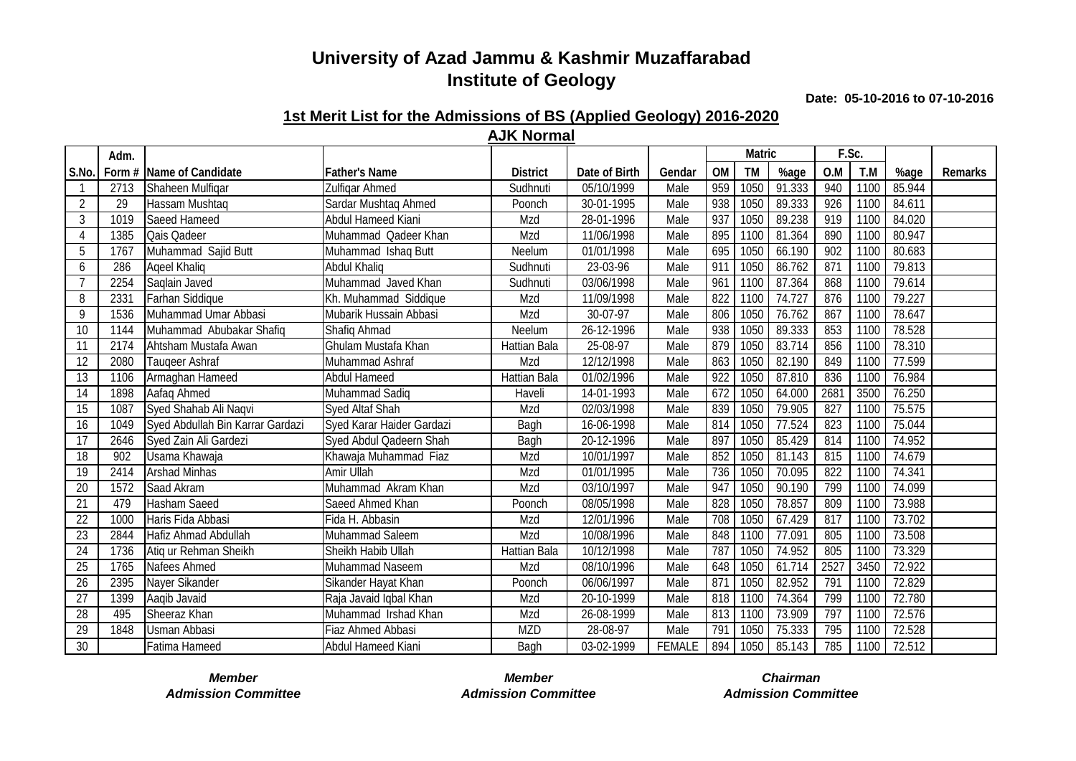**Date: 05-10-2016 to 07-10-2016**

#### **1st Merit List for the Admissions of BS (Applied Geology) 2016-2020 AJK Normal**

|                 | Adm. |                                  |                           |                            |                          |               |                 | <b>Matric</b> |        | F.Sc.           |      |        |         |
|-----------------|------|----------------------------------|---------------------------|----------------------------|--------------------------|---------------|-----------------|---------------|--------|-----------------|------|--------|---------|
| S.No            |      | Form # Name of Candidate         | Father's Name             | <b>District</b>            | Date of Birth            | Gendar        | <b>OM</b>       | <b>TM</b>     | %age   | O.M             | T.M  | %age   | Remarks |
|                 | 2713 | Shaheen Mulfigar                 | Zulfigar Ahmed            | Sudhnuti                   | 05/10/1999               | Male          | 959             | 1050          | 91.333 | 940             | 1100 | 85.944 |         |
| $\overline{2}$  | 29   | Hassam Mushtaq                   | Sardar Mushtaq Ahmed      | Poonch                     | 30-01-1995               | Male          | 938             | 1050          | 89.333 | 926             | 1100 | 84.611 |         |
| $\mathfrak{Z}$  | 1019 | Saeed Hameed                     | <b>Abdul Hameed Kiani</b> | Mzd                        | 28-01-1996               | Male          | $93^{-}$        | 1050          | 89.238 | 919             | 1100 | 84.020 |         |
| $\overline{4}$  | 1385 | Qais Qadeer                      | Muhammad Qadeer Khan      | Mzd                        | 11/06/1998               | Male          | 895             | 1100          | 81.364 | 890             | 1100 | 80.947 |         |
| 5               | 1767 | Muhammad Sajid Butt              | Muhammad Ishaq Butt       | $\overline{\text{Neelum}}$ | 01/01/1998               | Male          | 695             | 1050          | 66.190 | 902             | 1100 | 80.683 |         |
| 6               | 286  | Ageel Khalig                     | <b>Abdul Khaliq</b>       | Sudhnuti                   | 23-03-96                 | Male          | 911             | 1050          | 86.762 | 871             | 1100 | 79.813 |         |
|                 | 2254 | Saqlain Javed                    | Muhammad Javed Khan       | Sudhnuti                   | 03/06/1998               | Male          | 96 <sup>7</sup> | 1100          | 87.364 | 868             | 1100 | 79.614 |         |
| 8               | 2331 | Farhan Siddique                  | Kh. Muhammad Siddique     | Mzd                        | 11/09/1998               | Male          | 822             | 1100          | 74.727 | 876             | 1100 | 79.227 |         |
| 9               | 1536 | Muhammad Umar Abbasi             | Mubarik Hussain Abbasi    | Mzd                        | 30-07-97                 | Male          | 806             | 1050          | 76.762 | 867             | 1100 | 78.647 |         |
| 10              | 1144 | Muhammad Abubakar Shafiq         | Shafiq Ahmad              | Neelum                     | 26-12-1996               | Male          | 938             | 1050          | 89.333 | 853             | 1100 | 78.528 |         |
| 11              | 2174 | Ahtsham Mustafa Awan             | Ghulam Mustafa Khan       | <b>Hattian Bala</b>        | 25-08-97                 | Male          | 879             | 1050          | 83.714 | 856             | 1100 | 78.310 |         |
| 12              | 2080 | Taugeer Ashraf                   | Muhammad Ashraf           | Mzd                        | 12/12/1998               | Male          | 863             | 1050          | 82.190 | 849             | 1100 | 77.599 |         |
| 13              | 1106 | Armaghan Hameed                  | <b>Abdul Hameed</b>       | Hattian Bala               | 01/02/1996               | Male          | 922             | 1050          | 87.810 | 836             | 1100 | 76.984 |         |
| 14              | 1898 | Aafaq Ahmed                      | Muhammad Sadiq            | Haveli                     | $\overline{14}$ -01-1993 | Male          | 672             | 1050          | 64.000 | 2681            | 3500 | 76.250 |         |
| 15              | 1087 | Syed Shahab Ali Naqvi            | <b>Syed Altaf Shah</b>    | Mzd                        | 02/03/1998               | Male          | 839             | 1050          | 79.905 | 827             | 1100 | 75.575 |         |
| 16              | 1049 | Syed Abdullah Bin Karrar Gardazi | Syed Karar Haider Gardazi | Bagh                       | 16-06-1998               | Male          | 814             | 1050          | 77.524 | 823             | 1100 | 75.044 |         |
| 17              | 2646 | Syed Zain Ali Gardezi            | Syed Abdul Qadeern Shah   | Bagh                       | 20-12-1996               | Male          | 897             | 1050          | 85.429 | 814             | 1100 | 74.952 |         |
| 18              | 902  | Usama Khawaja                    | Khawaja Muhammad Fiaz     | Mzd                        | 10/01/1997               | Male          | 852             | 1050          | 81.143 | 815             | 1100 | 74.679 |         |
| 19              | 2414 | <b>Arshad Minhas</b>             | Amir Ullah                | Mzd                        | 01/01/1995               | Male          | 736             | 1050          | 70.095 | 822             | 1100 | 74.341 |         |
| 20              | 1572 | Saad Akram                       | Muhammad Akram Khan       | Mzd                        | 03/10/1997               | Male          | 947             | 1050          | 90.190 | 799             | 1100 | 74.099 |         |
| 21              | 479  | Hasham Saeed                     | Saeed Ahmed Khan          | Poonch                     | 08/05/1998               | Male          | 828             | 1050          | 78.857 | 809             | 1100 | 73.988 |         |
| 22              | 1000 | Haris Fida Abbasi                | Fida H. Abbasin           | Mzd                        | 12/01/1996               | Male          | 708             | 1050          | 67.429 | 817             | 1100 | 73.702 |         |
| 23              | 2844 | Hafiz Ahmad Abdullah             | Muhammad Saleem           | Mzd                        | 10/08/1996               | Male          | 848             | 1100          | 77.091 | 805             | 1100 | 73.508 |         |
| 24              | 1736 | Atiq ur Rehman Sheikh            | Sheikh Habib Ullah        | Hattian Bala               | 10/12/1998               | Male          | $\overline{78}$ | 1050          | 74.952 | 805             | 1100 | 73.329 |         |
| 25              | 1765 | Nafees Ahmed                     | Muhammad Naseem           | Mzd                        | 08/10/1996               | Male          | 648             | 1050          | 61.714 | 2527            | 3450 | 72.922 |         |
| 26              | 2395 | Nayer Sikander                   | Sikander Hayat Khan       | Poonch                     | 06/06/1997               | Male          | 87 <sup>°</sup> | 1050          | 82.952 | 79 <sup>2</sup> | 1100 | 72.829 |         |
| $\overline{27}$ | 1399 | Aaqib Javaid                     | Raja Javaid Iqbal Khan    | Mzd                        | 20-10-1999               | Male          | 818             | 1100          | 74.364 | 799             | 1100 | 72.780 |         |
| 28              | 495  | Sheeraz Khan                     | Muhammad Irshad Khan      | Mzd                        | 26-08-1999               | Male          | 813             | 1100          | 73.909 | 797             | 1100 | 72.576 |         |
| 29              | 1848 | Usman Abbasi                     | Fiaz Ahmed Abbasi         | <b>MZD</b>                 | 28-08-97                 | Male          | 79 <sup>°</sup> | 1050          | 75.333 | 795             | 1100 | 72.528 |         |
| 30              |      | Fatima Hameed                    | Abdul Hameed Kiani        | Bagh                       | 03-02-1999               | <b>FEMALE</b> | 894             | 1050          | 85.143 | 785             | 1100 | 72.512 |         |

*Admission Committee Admission Committee Admission Committee*

*Member Member Chairman*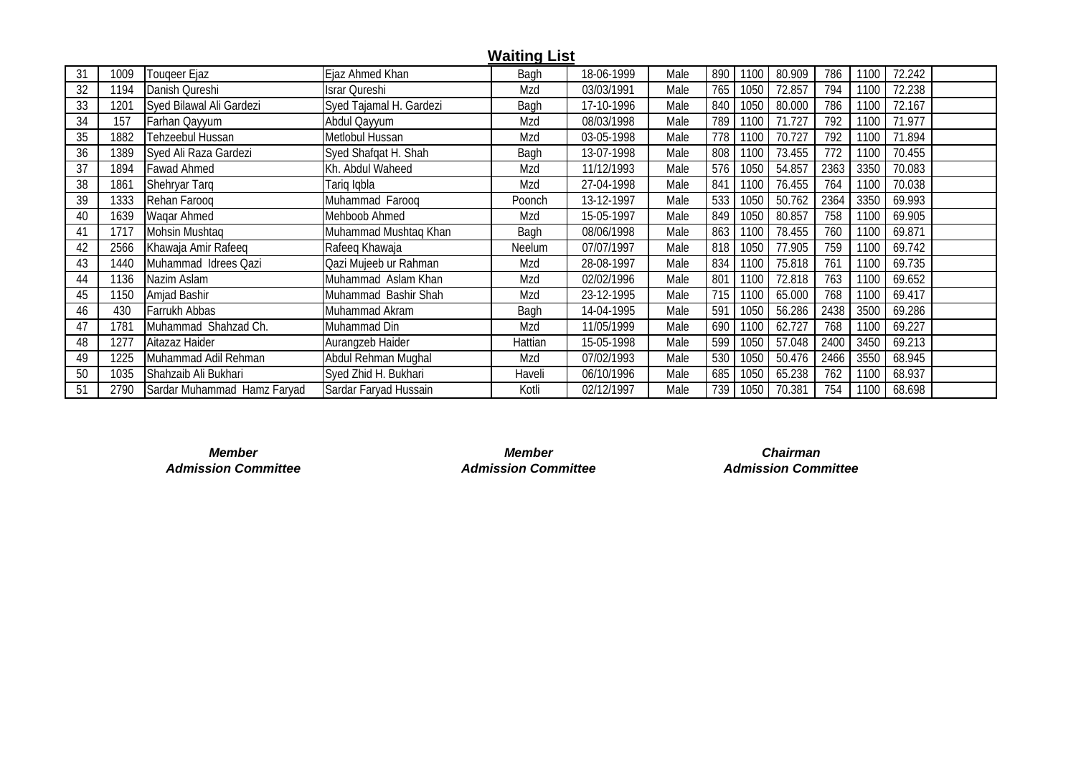|    |                  |                             |                         | <b>Waiting List</b> |            |      |             |        |      |      |        |  |
|----|------------------|-----------------------------|-------------------------|---------------------|------------|------|-------------|--------|------|------|--------|--|
| 31 | 1009             | Touqeer Ejaz                | Ejaz Ahmed Khan         | Bagh                | 18-06-1999 | Male | 890<br>1100 | 80.909 | 786  | 1100 | 72.242 |  |
| 32 | 1194             | Danish Qureshi              | Israr Qureshi           | Mzd                 | 03/03/1991 | Male | 765<br>1050 | 72.857 | 794  | 1100 | 72.238 |  |
| 33 | 120 <sup>2</sup> | Syed Bilawal Ali Gardezi    | Syed Tajamal H. Gardezi | Bagh                | 17-10-1996 | Male | 840<br>1050 | 80.000 | 786  | 1100 | 72.167 |  |
| 34 | 157              | Farhan Qayyum               | Abdul Qayyum            | Mzd                 | 08/03/1998 | Male | 789<br>1100 | 71.727 | 792  | 1100 | 71.977 |  |
| 35 | 1882             | Tehzeebul Hussan            | Metlobul Hussan         | Mzd                 | 03-05-1998 | Male | 778<br>1100 | 70.727 | 792  | 1100 | 71.894 |  |
| 36 | 1389             | Syed Ali Raza Gardezi       | Syed Shafqat H. Shah    | Bagh                | 13-07-1998 | Male | 808<br>1100 | 73.455 | 772  | 1100 | 70.455 |  |
| 37 | 1894             | <b>Fawad Ahmed</b>          | Kh. Abdul Waheed        | Mzd                 | 11/12/1993 | Male | 576<br>1050 | 54.857 | 2363 | 3350 | 70.083 |  |
| 38 | 1861             | Shehryar Tarq               | Tariq Iqbla             | Mzd                 | 27-04-1998 | Male | 841<br>1100 | 76.455 | 764  | 1100 | 70.038 |  |
| 39 | 1333             | Rehan Faroog                | Muhammad Farooq         | Poonch              | 13-12-1997 | Male | 533<br>1050 | 50.762 | 2364 | 3350 | 69.993 |  |
| 40 | 1639             | Wagar Ahmed                 | Mehboob Ahmed           | Mzd                 | 15-05-1997 | Male | 849<br>1050 | 80.857 | 758  | 1100 | 69.905 |  |
| 41 | 1717             | Mohsin Mushtag              | Muhammad Mushtag Khan   | Bagh                | 08/06/1998 | Male | 863<br>1100 | 78.455 | 760  | 1100 | 69.871 |  |
| 42 | 2566             | Khawaja Amir Rafeeq         | Rafeeq Khawaja          | Neelum              | 07/07/1997 | Male | 818<br>1050 | 77.905 | 759  | 1100 | 69.742 |  |
| 43 | 1440             | Muhammad Idrees Qazi        | Qazi Mujeeb ur Rahman   | Mzd                 | 28-08-1997 | Male | 834<br>1100 | 75.818 | 761  | 1100 | 69.735 |  |
| 44 | 1136             | Nazim Aslam                 | Muhammad Aslam Khan     | Mzd                 | 02/02/1996 | Male | 801<br>1100 | 72.818 | 763  | 1100 | 69.652 |  |
| 45 | 1150             | Amjad Bashir                | Muhammad Bashir Shah    | Mzd                 | 23-12-1995 | Male | 715<br>1100 | 65.000 | 768  | 1100 | 69.417 |  |
| 46 | 430              | Farrukh Abbas               | Muhammad Akram          | Bagh                | 14-04-1995 | Male | 591<br>1050 | 56.286 | 2438 | 3500 | 69.286 |  |
| 47 | 1781             | Muhammad Shahzad Ch.        | Muhammad Din            | Mzd                 | 11/05/1999 | Male | 690<br>1100 | 62.727 | 768  | 1100 | 69.227 |  |
| 48 | 1277             | Aitazaz Haider              | Aurangzeb Haider        | Hattian             | 15-05-1998 | Male | 599<br>1050 | 57.048 | 2400 | 3450 | 69.213 |  |
| 49 | 1225             | Muhammad Adil Rehman        | Abdul Rehman Mughal     | Mzd                 | 07/02/1993 | Male | 530<br>1050 | 50.476 | 2466 | 3550 | 68.945 |  |
| 50 | 1035             | Shahzaib Ali Bukhari        | Syed Zhid H. Bukhari    | Haveli              | 06/10/1996 | Male | 685<br>1050 | 65.238 | 762  | 1100 | 68.937 |  |
| 51 | 2790             | Sardar Muhammad Hamz Faryad | Sardar Faryad Hussain   | Kotli               | 02/12/1997 | Male | 739<br>1050 | 70.381 | 754  | 1100 | 68.698 |  |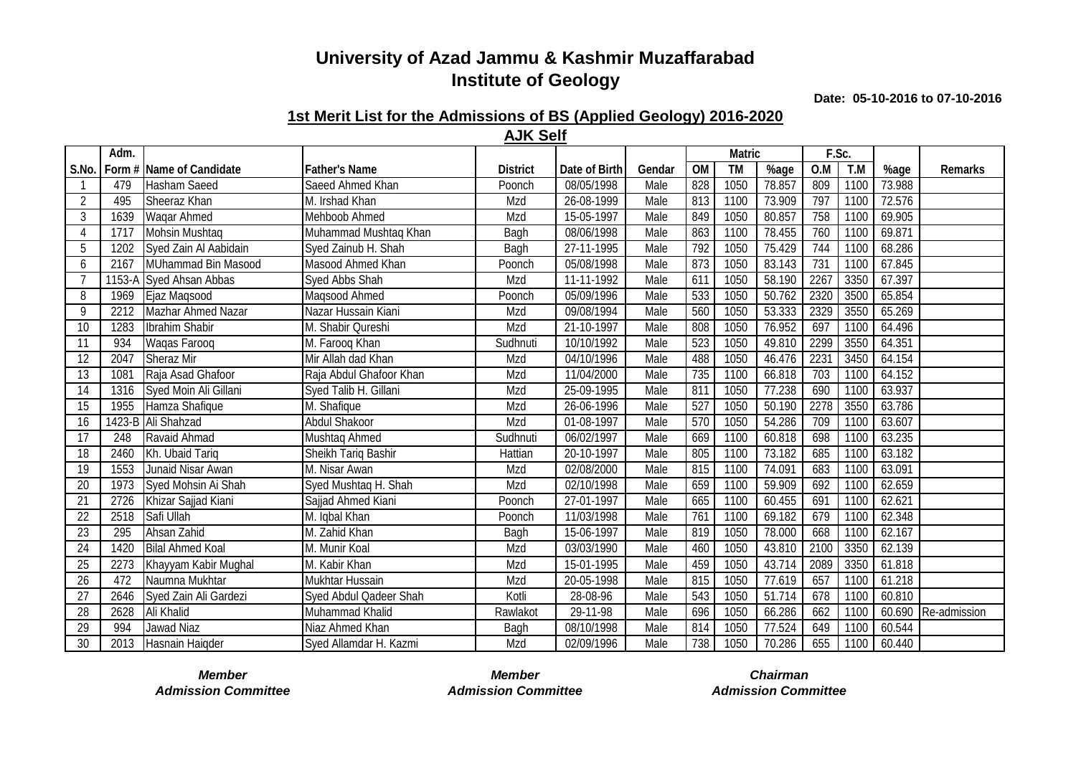**Date: 05-10-2016 to 07-10-2016**

#### **1st Merit List for the Admissions of BS (Applied Geology) 2016-2020 AJK Self**

|       | Adm. |                          |                         |                 |                             |        |           | <b>Matric</b>    |        | F.Sc. |      |        |              |
|-------|------|--------------------------|-------------------------|-----------------|-----------------------------|--------|-----------|------------------|--------|-------|------|--------|--------------|
| S.No. |      | Form # Name of Candidate | <b>Father's Name</b>    | <b>District</b> | Date of Birth               | Gendar | <b>OM</b> | $\overline{T}$ M | %age   | 0.M   | T.M  | %age   | Remarks      |
|       | 479  | Hasham Saeed             | Saeed Ahmed Khan        | Poonch          | 08/05/1998                  | Male   | 828       | 1050             | 78.857 | 809   | 1100 | 73.988 |              |
| 2     | 495  | Sheeraz Khan             | M. Irshad Khan          | Mzd             | 26-08-1999                  | Male   | 813       | 1100             | 73.909 | 797   | 1100 | 72.576 |              |
| 3     | 1639 | Wagar Ahmed              | Mehboob Ahmed           | Mzd             | 15-05-1997                  | Male   | 849       | 1050             | 80.857 | 758   | 1100 | 69.905 |              |
| 4     | 1717 | Mohsin Mushtag           | Muhammad Mushtaq Khan   | Bagh            | 08/06/1998                  | Male   | 863       | 1100             | 78.455 | 760   | 1100 | 69.871 |              |
| 5     | 1202 | Syed Zain Al Aabidain    | Syed Zainub H. Shah     | Bagh            | 27-11-1995                  | Male   | 792       | 1050             | 75.429 | 744   | 1100 | 68.286 |              |
| 6     | 2167 | MUhammad Bin Masood      | Masood Ahmed Khan       | Poonch          | 05/08/1998                  | Male   | 873       | 1050             | 83.143 | 731   | 1100 | 67.845 |              |
| 7     |      | 1153-A Syed Ahsan Abbas  | Syed Abbs Shah          | Mzd             | 11-11-1992                  | Male   | 611       | 1050             | 58.190 | 2267  | 3350 | 67.397 |              |
| 8     | 1969 | Ejaz Maqsood             | Maqsood Ahmed           | Poonch          | 05/09/1996                  | Male   | 533       | 1050             | 50.762 | 2320  | 3500 | 65.854 |              |
| 9     | 2212 | Mazhar Ahmed Nazar       | Nazar Hussain Kiani     | Mzd             | 09/08/1994                  | Male   | 560       | 1050             | 53.333 | 2329  | 3550 | 65.269 |              |
| 10    | 1283 | Ibrahim Shabir           | M. Shabir Qureshi       | Mzd             | 21-10-1997                  | Male   | 808       | 1050             | 76.952 | 697   | 1100 | 64.496 |              |
| 11    | 934  | Wagas Faroog             | M. Farooq Khan          | Sudhnuti        | 10/10/1992                  | Male   | 523       | 1050             | 49.810 | 2299  | 3550 | 64.351 |              |
| 12    | 2047 | <b>Sheraz Mir</b>        | Mir Allah dad Khan      | Mzd             | 04/10/1996                  | Male   | 488       | 1050             | 46.476 | 2231  | 3450 | 64.154 |              |
| 13    | 1081 | Raja Asad Ghafoor        | Raja Abdul Ghafoor Khan | Mzd             | 11/04/2000                  | Male   | 735       | 1100             | 66.818 | 703   | 1100 | 64.152 |              |
| 14    | 1316 | Syed Moin Ali Gillani    | Syed Talib H. Gillani   | Mzd             | 25-09-1995                  | Male   | 811       | 1050             | 77.238 | 690   | 1100 | 63.937 |              |
| 15    | 1955 | Hamza Shafique           | M. Shafique             | Mzd             | 26-06-1996                  | Male   | 527       | 1050             | 50.190 | 2278  | 3550 | 63.786 |              |
| 16    |      | 1423-B Ali Shahzad       | <b>Abdul Shakoor</b>    | Mzd             | 01-08-1997                  | Male   | 570       | 1050             | 54.286 | 709   | 1100 | 63.607 |              |
| 17    | 248  | Ravaid Ahmad             | Mushtaq Ahmed           | Sudhnuti        | 06/02/1997                  | Male   | 669       | 1100             | 60.818 | 698   | 1100 | 63.235 |              |
| 18    | 2460 | Kh. Ubaid Tariq          | Sheikh Tariq Bashir     | Hattian         | 20-10-1997                  | Male   | 805       | 1100             | 73.182 | 685   | 1100 | 63.182 |              |
| 19    | 1553 | Junaid Nisar Awan        | M. Nisar Awan           | Mzd             | 02/08/2000                  | Male   | 815       | 1100             | 74.091 | 683   | 1100 | 63.091 |              |
| 20    | 1973 | Syed Mohsin Ai Shah      | Syed Mushtaq H. Shah    | Mzd             | 02/10/1998                  | Male   | 659       | 1100             | 59.909 | 692   | 1100 | 62.659 |              |
| 21    | 2726 | Khizar Sajjad Kiani      | Sajjad Ahmed Kiani      | Poonch          | 27-01-1997                  | Male   | 665       | 1100             | 60.455 | 691   | 1100 | 62.621 |              |
| 22    | 2518 | Safi Ullah               | M. Iqbal Khan           | Poonch          | 11/03/1998                  | Male   | 761       | 1100             | 69.182 | 679   | 1100 | 62.348 |              |
| 23    | 295  | Ahsan Zahid              | M. Zahid Khan           | Bagh            | 15-06-1997                  | Male   | 819       | 1050             | 78.000 | 668   | 1100 | 62.167 |              |
| 24    | 1420 | <b>Bilal Ahmed Koal</b>  | M. Munir Koal           | Mzd             | 03/03/1990                  | Male   | 460       | 1050             | 43.810 | 2100  | 3350 | 62.139 |              |
| 25    | 2273 | Khayyam Kabir Mughal     | M. Kabir Khan           | Mzd             | $\overline{15} - 01 - 1995$ | Male   | 459       | 1050             | 43.714 | 2089  | 3350 | 61.818 |              |
| 26    | 472  | Naumna Mukhtar           | Mukhtar Hussain         | Mzd             | 20-05-1998                  | Male   | 815       | 1050             | 77.619 | 657   | 1100 | 61.218 |              |
| 27    | 2646 | Syed Zain Ali Gardezi    | Syed Abdul Qadeer Shah  | Kotli           | 28-08-96                    | Male   | 543       | 1050             | 51.714 | 678   | 1100 | 60.810 |              |
| 28    | 2628 | Ali Khalid               | Muhammad Khalid         | Rawlakot        | 29-11-98                    | Male   | 696       | 1050             | 66.286 | 662   | 1100 | 60.690 | Re-admission |
| 29    | 994  | Jawad Niaz               | Niaz Ahmed Khan         | Bagh            | 08/10/1998                  | Male   | 814       | 1050             | 77.524 | 649   | 1100 | 60.544 |              |
| 30    | 2013 | Hasnain Haigder          | Syed Allamdar H. Kazmi  | Mzd             | 02/09/1996                  | Male   | 738       | 1050             | 70.286 | 655   | 1100 | 60.440 |              |

*Admission Committee Admission Committee Admission Committee*

*Member Member Chairman*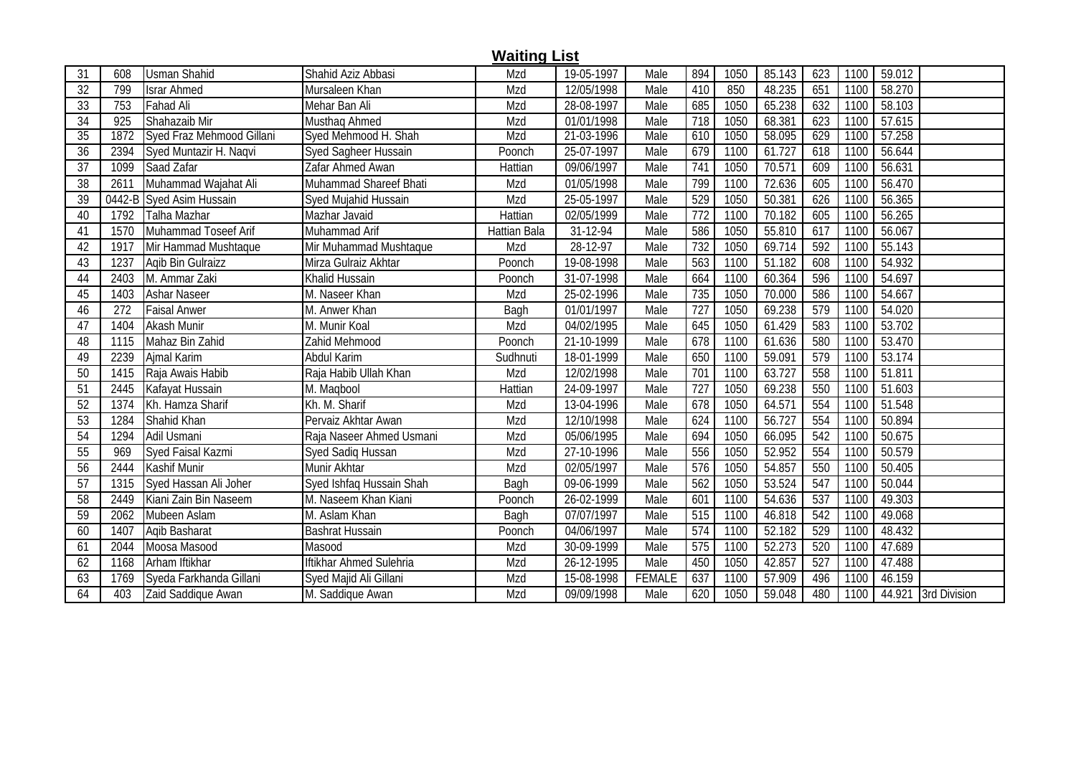|                 |      |                           |                          | <b>Waiting List</b> |            |               |     |      |        |                  |      |        |                     |
|-----------------|------|---------------------------|--------------------------|---------------------|------------|---------------|-----|------|--------|------------------|------|--------|---------------------|
| 31              | 608  | <b>Usman Shahid</b>       | Shahid Aziz Abbasi       | Mzd                 | 19-05-1997 | Male          | 894 | 1050 | 85.143 | 623              | 1100 | 59.012 |                     |
| $\overline{32}$ | 799  | <b>Israr Ahmed</b>        | Mursaleen Khan           | Mzd                 | 12/05/1998 | Male          | 410 | 850  | 48.235 | 651              | 1100 | 58.270 |                     |
| 33              | 753  | <b>Fahad Ali</b>          | Mehar Ban Ali            | Mzd                 | 28-08-1997 | Male          | 685 | 1050 | 65.238 | 632              | 1100 | 58.103 |                     |
| 34              | 925  | Shahazaib Mir             | Musthag Ahmed            | Mzd                 | 01/01/1998 | Male          | 718 | 1050 | 68.381 | 623              | 1100 | 57.615 |                     |
| 35              | 1872 | Syed Fraz Mehmood Gillani | Syed Mehmood H. Shah     | Mzd                 | 21-03-1996 | Male          | 610 | 1050 | 58.095 | 629              | 1100 | 57.258 |                     |
| 36              | 2394 | Syed Muntazir H. Naqvi    | Syed Sagheer Hussain     | Poonch              | 25-07-1997 | Male          | 679 | 1100 | 61.727 | 618              | 1100 | 56.644 |                     |
| 37              | 1099 | Saad Zafar                | Zafar Ahmed Awan         | Hattian             | 09/06/1997 | Male          | 741 | 1050 | 70.571 | 609              | 1100 | 56.631 |                     |
| 38              | 2611 | Muhammad Wajahat Ali      | Muhammad Shareef Bhati   | Mzd                 | 01/05/1998 | Male          | 799 | 1100 | 72.636 | 605              | 1100 | 56.470 |                     |
| 39              |      | 0442-B Syed Asim Hussain  | Syed Mujahid Hussain     | Mzd                 | 25-05-1997 | Male          | 529 | 1050 | 50.381 | 626              | 1100 | 56.365 |                     |
| 40              | 1792 | Talha Mazhar              | Mazhar Javaid            | Hattian             | 02/05/1999 | Male          | 772 | 1100 | 70.182 | 605              | 1100 | 56.265 |                     |
| 41              | 1570 | Muhammad Toseef Arif      | Muhammad Arif            | Hattian Bala        | 31-12-94   | Male          | 586 | 1050 | 55.810 | 617              | 1100 | 56.067 |                     |
| 42              | 1917 | Mir Hammad Mushtaque      | Mir Muhammad Mushtaque   | Mzd                 | 28-12-97   | Male          | 732 | 1050 | 69.714 | 592              | 1100 | 55.143 |                     |
| 43              | 1237 | Agib Bin Gulraizz         | Mirza Gulraiz Akhtar     | Poonch              | 19-08-1998 | Male          | 563 | 1100 | 51.182 | 608              | 1100 | 54.932 |                     |
| 44              | 2403 | M. Ammar Zaki             | Khalid Hussain           | Poonch              | 31-07-1998 | Male          | 664 | 1100 | 60.364 | 596              | 1100 | 54.697 |                     |
| 45              | 1403 | Ashar Naseer              | M. Naseer Khan           | Mzd                 | 25-02-1996 | Male          | 735 | 1050 | 70.000 | 586              | 1100 | 54.667 |                     |
| 46              | 272  | <b>Faisal Anwer</b>       | M. Anwer Khan            | Bagh                | 01/01/1997 | Male          | 727 | 1050 | 69.238 | 579              | 1100 | 54.020 |                     |
| 47              | 1404 | Akash Munir               | M. Munir Koal            | Mzd                 | 04/02/1995 | Male          | 645 | 1050 | 61.429 | 583              | 1100 | 53.702 |                     |
| 48              | 1115 | Mahaz Bin Zahid           | Zahid Mehmood            | Poonch              | 21-10-1999 | Male          | 678 | 1100 | 61.636 | 580              | 1100 | 53.470 |                     |
| 49              | 2239 | Ajmal Karim               | Abdul Karim              | Sudhnuti            | 18-01-1999 | Male          | 650 | 1100 | 59.091 | 579              | 1100 | 53.174 |                     |
| 50              | 1415 | Raja Awais Habib          | Raja Habib Ullah Khan    | Mzd                 | 12/02/1998 | Male          | 701 | 1100 | 63.727 | 558              | 1100 | 51.811 |                     |
| 51              | 2445 | Kafayat Hussain           | M. Maqbool               | Hattian             | 24-09-1997 | Male          | 727 | 1050 | 69.238 | 550              | 1100 | 51.603 |                     |
| 52              | 1374 | Kh. Hamza Sharif          | Kh. M. Sharif            | Mzd                 | 13-04-1996 | Male          | 678 | 1050 | 64.571 | 554              | 1100 | 51.548 |                     |
| 53              | 1284 | Shahid Khan               | Pervaiz Akhtar Awan      | Mzd                 | 12/10/1998 | Male          | 624 | 1100 | 56.727 | 554              | 1100 | 50.894 |                     |
| 54              | 1294 | Adil Usmani               | Raja Naseer Ahmed Usmani | Mzd                 | 05/06/1995 | Male          | 694 | 1050 | 66.095 | 542              | 1100 | 50.675 |                     |
| 55              | 969  | Syed Faisal Kazmi         | Syed Sadiq Hussan        | Mzd                 | 27-10-1996 | Male          | 556 | 1050 | 52.952 | 554              | 1100 | 50.579 |                     |
| 56              | 2444 | Kashif Munir              | Munir Akhtar             | Mzd                 | 02/05/1997 | Male          | 576 | 1050 | 54.857 | 550              | 1100 | 50.405 |                     |
| 57              | 1315 | Syed Hassan Ali Joher     | Syed Ishfaq Hussain Shah | Bagh                | 09-06-1999 | Male          | 562 | 1050 | 53.524 | 547              | 1100 | 50.044 |                     |
| 58              | 2449 | Kiani Zain Bin Naseem     | M. Naseem Khan Kiani     | Poonch              | 26-02-1999 | Male          | 601 | 1100 | 54.636 | 537              | 1100 | 49.303 |                     |
| 59              | 2062 | Mubeen Aslam              | M. Aslam Khan            | Bagh                | 07/07/1997 | Male          | 515 | 1100 | 46.818 | 542              | 1100 | 49.068 |                     |
| 60              | 1407 | Agib Basharat             | <b>Bashrat Hussain</b>   | Poonch              | 04/06/1997 | Male          | 574 | 1100 | 52.182 | 529              | 1100 | 48.432 |                     |
| 61              | 2044 | Moosa Masood              | Masood                   | Mzd                 | 30-09-1999 | Male          | 575 | 1100 | 52.273 | 520              | 1100 | 47.689 |                     |
| 62              | 1168 | Arham Iftikhar            | Iftikhar Ahmed Sulehria  | Mzd                 | 26-12-1995 | Male          | 450 | 1050 | 42.857 | $\overline{527}$ | 1100 | 47.488 |                     |
| 63              | 1769 | Syeda Farkhanda Gillani   | Syed Majid Ali Gillani   | Mzd                 | 15-08-1998 | <b>FEMALE</b> | 637 | 1100 | 57.909 | 496              | 1100 | 46.159 |                     |
| 64              | 403  | Zaid Saddique Awan        | M. Saddique Awan         | Mzd                 | 09/09/1998 | Male          | 620 | 1050 | 59.048 | 480              | 1100 |        | 44.921 3rd Division |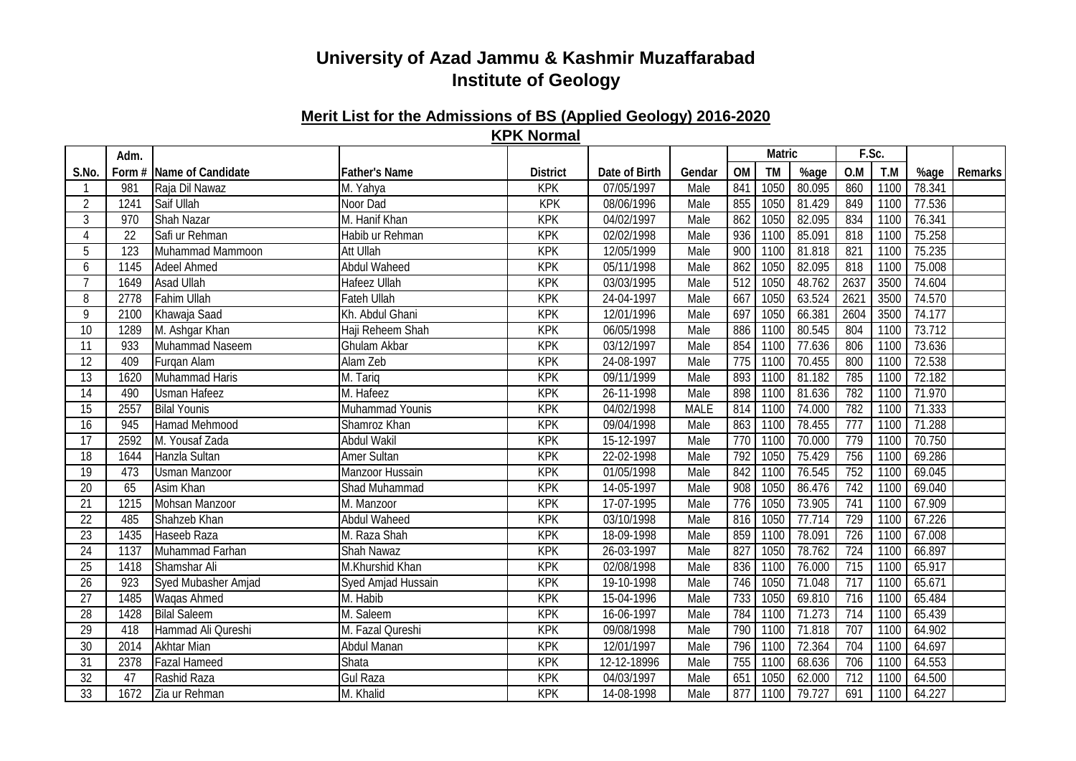#### **Merit List for the Admissions of BS (Applied Geology) 2016-2020 KPK Normal**

|                 | Adm.            |                          |                      |                 |               |             |     | Matric |        | F.Sc.            |      |                     |         |
|-----------------|-----------------|--------------------------|----------------------|-----------------|---------------|-------------|-----|--------|--------|------------------|------|---------------------|---------|
| S.No.           |                 | Form # Name of Candidate | <b>Father's Name</b> | <b>District</b> | Date of Birth | Gendar      | OM  | TM     | %age   | O.M              | T.M  | %age                | Remarks |
|                 | 981             | Raja Dil Nawaz           | M. Yahya             | <b>KPK</b>      | 07/05/1997    | Male        | 841 | 1050   | 80.095 | 860              | 1100 | 78.341              |         |
| $\overline{2}$  | 1241            | Saif Ullah               | Noor Dad             | KPK             | 08/06/1996    | Male        | 855 | 1050   | 81.429 | 849              | 1100 | 77.536              |         |
| 3               | 970             | <b>Shah Nazar</b>        | M. Hanif Khan        | <b>KPK</b>      | 04/02/1997    | Male        | 862 | 1050   | 82.095 | 834              | 1100 | 76.341              |         |
| $\overline{4}$  | $\overline{22}$ | Safi ur Rehman           | Habib ur Rehman      | KPK             | 02/02/1998    | Male        | 936 | 1100   | 85.091 | 818              | 1100 | 75.258              |         |
| 5               | 123             | Muhammad Mammoon         | Att Ullah            | <b>KPK</b>      | 12/05/1999    | Male        | 900 | 1100   | 81.818 | 821              | 1100 | 75.235              |         |
| 6               | 1145            | <b>Adeel Ahmed</b>       | <b>Abdul Waheed</b>  | KPK             | 05/11/1998    | Male        | 862 | 1050   | 82.095 | 818              | 1100 | 75.008              |         |
|                 | 1649            | Asad Ullah               | <b>Hafeez Ullah</b>  | <b>KPK</b>      | 03/03/1995    | Male        | 512 | 1050   | 48.762 | 2637             | 3500 | 74.604              |         |
| 8               | 2778            | <b>Fahim Ullah</b>       | <b>Fateh Ullah</b>   | KPK             | 24-04-1997    | Male        | 667 | 1050   | 63.524 | 262              | 3500 | 74.570              |         |
| 9               | 2100            | Khawaja Saad             | Kh. Abdul Ghani      | <b>KPK</b>      | 12/01/1996    | Male        | 697 | 1050   | 66.381 | 2604             | 3500 | 74.177              |         |
| $\overline{10}$ | 1289            | M. Ashgar Khan           | Haji Reheem Shah     | <b>KPK</b>      | 06/05/1998    | Male        | 886 | 1100   | 80.545 | 804              | 1100 | 73.712              |         |
| 11              | 933             | Muhammad Naseem          | <b>Ghulam Akbar</b>  | <b>KPK</b>      | 03/12/1997    | Male        | 854 | 1100   | 77.636 | 806              | 1100 | 73.636              |         |
| 12              | 409             | Furgan Alam              | Alam Zeb             | <b>KPK</b>      | 24-08-1997    | Male        | 775 | 1100   | 70.455 | 800              | 1100 | 72.538              |         |
| 13              | 1620            | Muhammad Haris           | M. Tariq             | <b>KPK</b>      | 09/11/1999    | Male        | 893 | 1100   | 81.182 | 785              | 1100 | 72.182              |         |
| 14              | 490             | <b>Usman Hafeez</b>      | M. Hafeez            | <b>KPK</b>      | 26-11-1998    | Male        | 898 | 1100   | 81.636 | 782              | 1100 | $\overline{71.970}$ |         |
| $\overline{15}$ | 2557            | <b>Bilal Younis</b>      | Muhammad Younis      | <b>KPK</b>      | 04/02/1998    | <b>MALE</b> | 814 | 1100   | 74.000 | 782              | 1100 | $\overline{71.333}$ |         |
| 16              | 945             | <b>Hamad Mehmood</b>     | Shamroz Khan         | <b>KPK</b>      | 09/04/1998    | Male        | 863 | 1100   | 78.455 | 777              | 1100 | 71.288              |         |
| $\overline{17}$ | 2592            | M. Yousaf Zada           | <b>Abdul Wakil</b>   | <b>KPK</b>      | 15-12-1997    | Male        | 770 | 1100   | 70.000 | 779              | 1100 | 70.750              |         |
| 18              | 1644            | Hanzla Sultan            | <b>Amer Sultan</b>   | <b>KPK</b>      | 22-02-1998    | Male        | 792 | 1050   | 75.429 | 756              | 1100 | 69.286              |         |
| 19              | 473             | <b>Usman Manzoor</b>     | Manzoor Hussain      | <b>KPK</b>      | 01/05/1998    | Male        | 842 | 1100   | 76.545 | 752              | 1100 | 69.045              |         |
| 20              | 65              | Asim Khan                | Shad Muhammad        | <b>KPK</b>      | 14-05-1997    | Male        | 908 | 1050   | 86.476 | 742              | 1100 | 69.040              |         |
| 21              | 1215            | Mohsan Manzoor           | M. Manzoor           | <b>KPK</b>      | 17-07-1995    | Male        | 776 | 1050   | 73.905 | 741              | 1100 | 67.909              |         |
| 22              | 485             | Shahzeb Khan             | Abdul Waheed         | <b>KPK</b>      | 03/10/1998    | Male        | 816 | 1050   | 77.714 | 729              | 1100 | 67.226              |         |
| 23              | 1435            | Haseeb Raza              | M. Raza Shah         | <b>KPK</b>      | 18-09-1998    | Male        | 859 | 1100   | 78.091 | 726              | 1100 | 67.008              |         |
| 24              | 1137            | Muhammad Farhan          | Shah Nawaz           | <b>KPK</b>      | 26-03-1997    | Male        | 827 | 1050   | 78.762 | 724              | 1100 | 66.897              |         |
| 25              | 1418            | Shamshar Ali             | M.Khurshid Khan      | <b>KPK</b>      | 02/08/1998    | Male        | 836 | 1100   | 76.000 | 715              | 1100 | 65.917              |         |
| $\overline{26}$ | 923             | Syed Mubasher Amjad      | Syed Amjad Hussain   | <b>KPK</b>      | 19-10-1998    | Male        | 746 | 1050   | 71.048 | $\overline{717}$ | 1100 | 65.671              |         |
| 27              | 1485            | Waqas Ahmed              | M. Habib             | <b>KPK</b>      | 15-04-1996    | Male        | 733 | 1050   | 69.810 | 716              | 1100 | 65.484              |         |
| $\overline{28}$ | 1428            | <b>Bilal Saleem</b>      | M. Saleem            | <b>KPK</b>      | 16-06-1997    | Male        | 784 | 1100   | 71.273 | $\overline{714}$ | 1100 | 65.439              |         |
| 29              | 418             | Hammad Ali Qureshi       | M. Fazal Qureshi     | <b>KPK</b>      | 09/08/1998    | Male        | 790 | 1100   | 71.818 | 707              | 1100 | 64.902              |         |
| 30              | 2014            | <b>Akhtar Mian</b>       | Abdul Manan          | <b>KPK</b>      | 12/01/1997    | Male        | 796 | 1100   | 72.364 | 704              | 1100 | 64.697              |         |
| 31              | 2378            | <b>Fazal Hameed</b>      | Shata                | KPK             | 12-12-18996   | Male        | 755 | 1100   | 68.636 | 706              | 1100 | 64.553              |         |
| $\overline{32}$ | 47              | Rashid Raza              | <b>Gul Raza</b>      | <b>KPK</b>      | 04/03/1997    | Male        | 651 | 1050   | 62.000 | 712              | 1100 | 64.500              |         |
| 33              | 1672            | Zia ur Rehman            | M. Khalid            | <b>KPK</b>      | 14-08-1998    | Male        | 877 | 1100   | 79.727 | 691              | 1100 | 64.227              |         |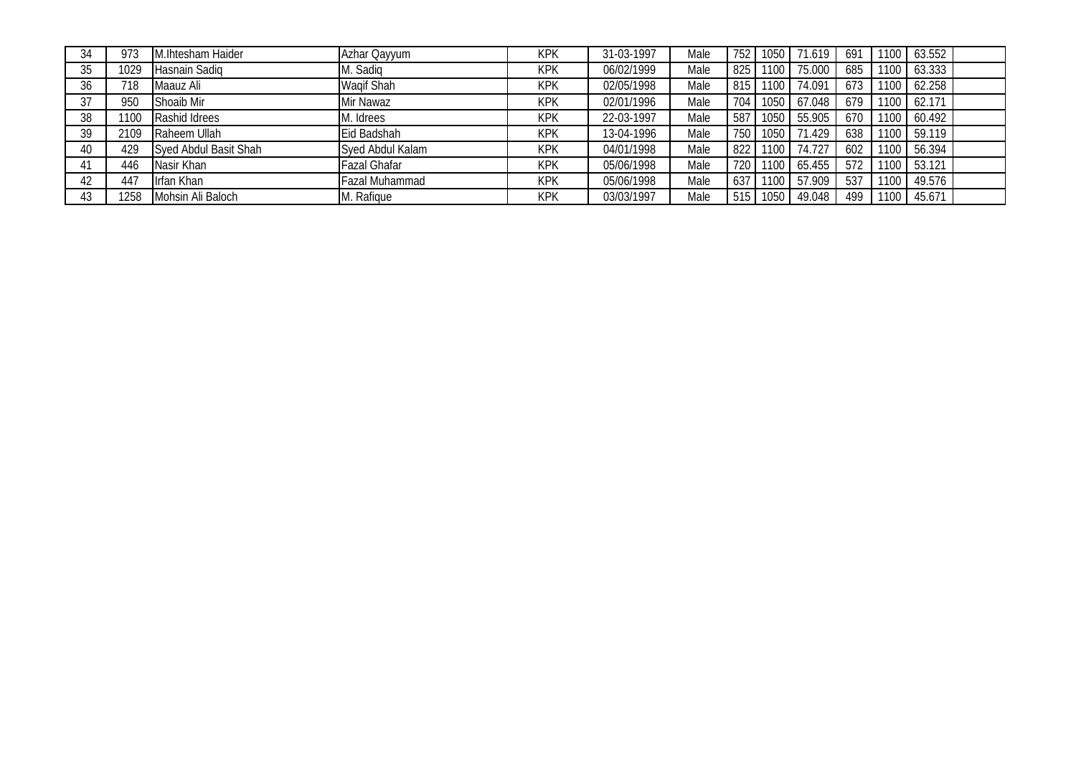| 34 | 973  | M.Ihtesham Haider     | Azhar Qayyum      | <b>KPK</b> | 31-03-1997 | Male | 752  | 21050 | 71.619 | 691 | 1100 | $\big)$ 63.552   |  |
|----|------|-----------------------|-------------------|------------|------------|------|------|-------|--------|-----|------|------------------|--|
| 35 | 1029 | Hasnain Sadiq         | Sadiq             | <b>KPK</b> | 06/02/1999 | Male | 825  | 1100  | 75.000 | 685 | 1100 | $0 \big  63.333$ |  |
| 36 | 718  | Maauz Ali             | <b>Wagif Shah</b> | <b>KPK</b> | 02/05/1998 | Male | 815  | 1100  | 74.091 | 673 | 1100 | $0 \big  62.258$ |  |
|    | 950  | Shoaib Mir            | Mir Nawaz         | <b>KPK</b> | 02/01/1996 | Male | 704  | 1050  | 67.048 | 679 | 1100 | 162.171          |  |
| 38 | 1100 | Rashid Idrees         | Idrees            | <b>KPK</b> | 22-03-1997 | Male | 587  | 1050  | 55.905 | 670 |      | 1100 60.492      |  |
| 39 | 2109 | Raheem Ullah          | Eid Badshah       | <b>KPK</b> | 13-04-1996 | Male | 750  | 1050  | 71.429 | 638 |      | 1100 59.119      |  |
| 40 | 429  | Syed Abdul Basit Shah | Syed Abdul Kalam  | <b>KPK</b> | 04/01/1998 | Male | 822  | 1100  | 74.727 | 602 | 1100 | 56.394           |  |
|    | 446  | Nasir Khan            | Fazal Ghafar      | <b>KPK</b> | 05/06/1998 | Male | 720  | 1100  | 65.455 | 572 | 1100 | $-53.121$        |  |
| 42 | 447  | Irfan Khan            | Fazal Muhammad    | <b>KPK</b> | 05/06/1998 | Male | 637  | 1100  | 57.909 | 537 | 1100 | 49.576           |  |
| 43 | 258  | Mohsin Ali Baloch     | Rafique           | <b>KPK</b> | 03/03/1997 | Male | -515 | 1050  | 49.048 | 499 | 1100 | 45.671           |  |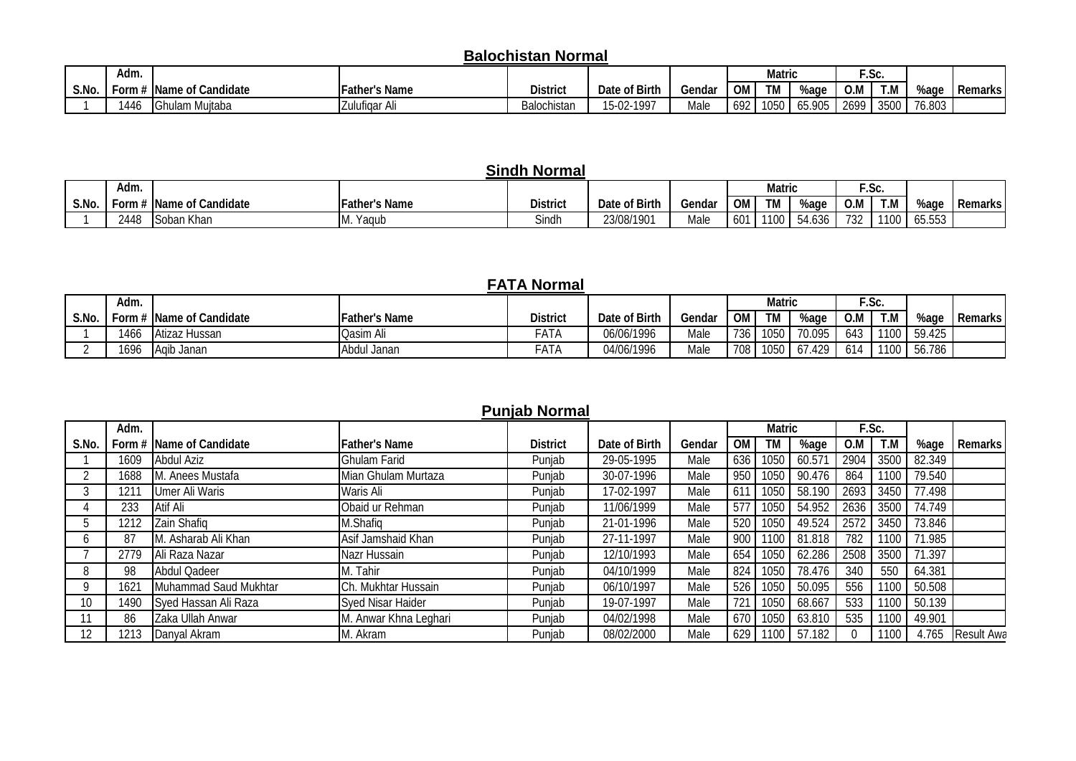## **Balochistan Normal**

|       | Adm. |                        |                           |                 |                               |        |                     | Matric    |                      | $\overline{\phantom{a}}$ | ~<br>.טע.           |        |         |
|-------|------|------------------------|---------------------------|-----------------|-------------------------------|--------|---------------------|-----------|----------------------|--------------------------|---------------------|--------|---------|
| S.No. | ⊱orm | Name of<br>f Candidate | <b>IFather's Name</b>     | <b>District</b> | of Birth<br>Date              | Gendar | $\sim$ $\sim$<br>UM | <b>TM</b> | %aɑe                 | O.M                      | <b>T</b> M<br>∣. IV | %aqe   | Remarks |
|       | 1446 | Auitaba<br>ulam<br>''  | $\sim$<br>I Zulutigar Al. | Balochistan     | $F \cap T$<br>-1997<br>.5-UZ- | Male   | −69∠                | 1050      | <b>\ፍ 0∩ፍ</b><br>JJ. | 2699                     | 3500                | 76.803 |         |

#### **OM TM %age O.M T.M** 1 2448 Soban Khan M. Yaqub Sindh 23/08/1901 Male 601 1100 54.636 732 1100 65.553 **District Date of Birth Gendar Matric F.Sc. Sindh Normal S.No. Form # Name of Candidate Father's Name Adm. %age Remarks**

## **FATA Normal**

|       | Adm.   |                        |                      |                      |               |        |                  | Matric |                 |     | E.Sc. |        |           |
|-------|--------|------------------------|----------------------|----------------------|---------------|--------|------------------|--------|-----------------|-----|-------|--------|-----------|
| S.No. | Form # | Name of Candidate      | <b>Father's Name</b> | <b>District</b>      | Date of Birth | Gendar | OM <sub>1</sub>  | TM     | %aɑe            | O.M | T.M   | %age   | Remarks I |
|       | 1466   | Atizaz Hussan          | Qasim Ali            | - ^ +<br>-AIA        | 06/06/1996    | Male   | 736 l            | 1050   | 70.095          | 643 | 1100  | 59.425 |           |
|       | 1696   | Janan<br><b>IA</b> dib | Abdul Janan          | $ A$ $+$ $A$<br>-AIA | 04/06/1996    | Male   | 708 <sub>1</sub> | 1050   | .429<br>$O/I$ . | 614 | 1100  | 56.786 |           |

#### **Punjab Normal**

|       | Adm. |                          |                       |                 |               |        |     | <b>Matric</b> |             |      | F.Sc. |        |                   |
|-------|------|--------------------------|-----------------------|-----------------|---------------|--------|-----|---------------|-------------|------|-------|--------|-------------------|
| S.No. |      | Form # Name of Candidate | <b>Father's Name</b>  | <b>District</b> | Date of Birth | Gendar | OM  | TM            | %age        | O.M  | T.N   | %age   | Remarks           |
|       | 1609 | Abdul Aziz               | <b>Ghulam Farid</b>   | Punjab          | 29-05-1995    | Male   | 636 | 1050          | 60.571      | 2904 | 3500  | 82.349 |                   |
|       | 1688 | M. Anees Mustafa         | Mian Ghulam Murtaza   | Punjab          | 30-07-1996    | Male   | 950 | 1050          | 90.476      | 864  | 1100  | 79.540 |                   |
|       | 1211 | <b>Umer Ali Waris</b>    | Waris Ali             | Punjab          | 17-02-1997    | Male   | 61  | 1050          | 58.190      | 2693 | 3450  | 77.498 |                   |
|       | 233  | Atif Ali                 | Obaid ur Rehman       | Punjab          | 11/06/1999    | Male   | 57  | 1050          | 54.952      | 2636 | 3500  | 74.749 |                   |
|       | 1212 | Zain Shafiq              | M.Shafiq              | Punjab          | 21-01-1996    | Male   | 520 | 1050          | 49.524      | 2572 | 3450  | 73.846 |                   |
|       | 87   | M. Asharab Ali Khan      | Asif Jamshaid Khan    | Punjab          | 27-11-1997    | Male   | 900 | 1100          | 81.818      | 782  | 1100  | 71.985 |                   |
|       | 2779 | Ali Raza Nazar           | Nazr Hussain          | Punjab          | 12/10/1993    | Male   | 654 | 1050          | 62.286      | 2508 | 3500  | 71.397 |                   |
|       | 98   | <b>Abdul Qadeer</b>      | M. Tahir              | Punjab          | 04/10/1999    | Male   | 824 | 1050          | 78.476      | 340  | 550   | 64.381 |                   |
| Q     | 1621 | Muhammad Saud Mukhtar    | Ch. Mukhtar Hussain   | Punjab          | 06/10/1997    | Male   | 526 | 1050          | 50.095      | 556  | 1100  | 50.508 |                   |
| 10    | 1490 | Syed Hassan Ali Raza     | Syed Nisar Haider     | Punjab          | 19-07-1997    | Male   | 721 | 1050          | 68.667      | 533  | 1100  | 50.139 |                   |
|       | 86   | Zaka Ullah Anwar         | M. Anwar Khna Leghari | Punjab          | 04/02/1998    | Male   | 670 | 1050          | 63.810      | 535  | 1100  | 49.901 |                   |
| 12    | 213  | Danyal Akram             | M. Akram              | Punjab          | 08/02/2000    | Male   | 629 |               | 1100 57.182 |      | 1100  | 4.765  | <b>Result Awa</b> |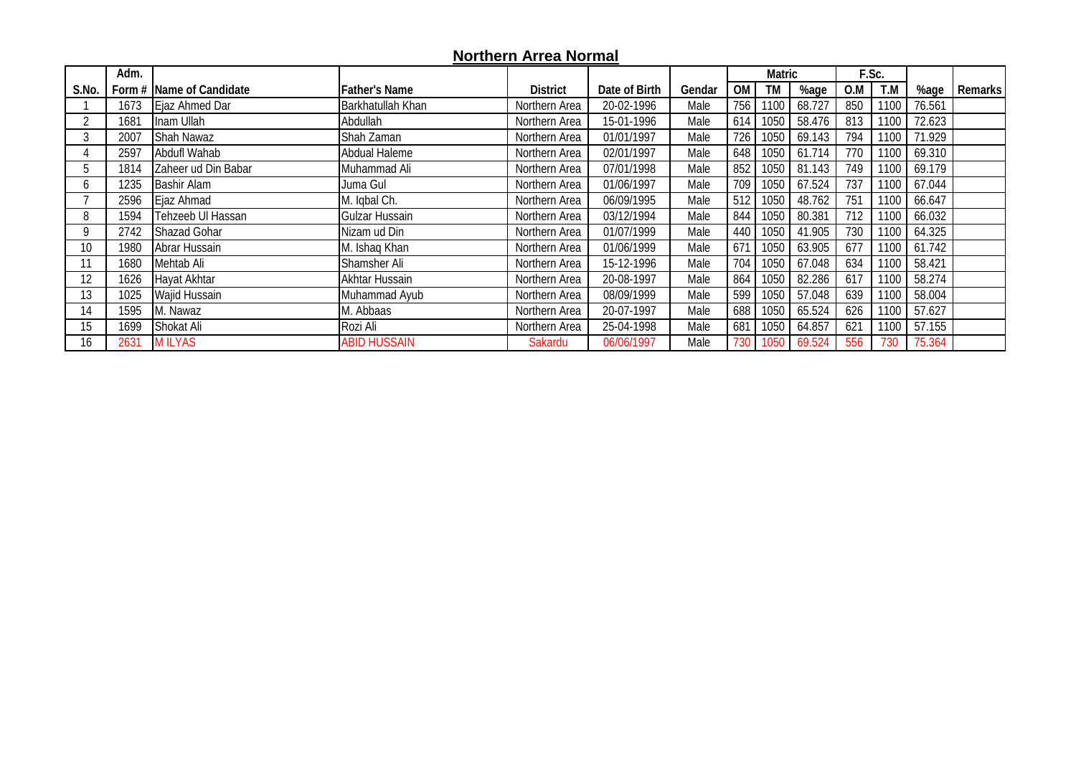## **Northern Arrea Normal**

|              | Adm. |                           |                      |                 |               |        |     | Matric |        |                 | F.Sc. |        |         |
|--------------|------|---------------------------|----------------------|-----------------|---------------|--------|-----|--------|--------|-----------------|-------|--------|---------|
| S.No.        |      | Form # IName of Candidate | <b>Father's Name</b> | <b>District</b> | Date of Birth | Gendar | OM  | TM     | %age   | 0.M             | T.M   | %age   | Remarks |
|              | 1673 | Ejaz Ahmed Dar            | Barkhatullah Khan    | Northern Area   | 20-02-1996    | Male   | 756 | 1100   | 68.727 | 850             | 1100  | 76.561 |         |
|              | 1681 | Inam Ullah                | Abdullah             | Northern Area   | 15-01-1996    | Male   | 614 | 1050   | 58.476 | 813             | 1100  | 72.623 |         |
|              | 2007 | Shah Nawaz                | Shah Zaman           | Northern Area   | 01/01/1997    | Male   | 726 | 1050   | 69.143 | 794             | 1100  | 71.929 |         |
|              | 2597 | Abdufl Wahab              | Abdual Haleme        | Northern Area   | 02/01/1997    | Male   | 648 | 1050   | 61.714 | 770             | 1100  | 69.310 |         |
|              | 1814 | Zaheer ud Din Babar       | Muhammad Ali         | Northern Area   | 07/01/1998    | Male   | 852 | 1050   | 81.143 | 749             | 1100  | 69.179 |         |
| <sub>0</sub> | 1235 | <b>Bashir Alam</b>        | Juma Gul             | Northern Area   | 01/06/1997    | Male   | 709 | 1050   | 67.524 | 737             | 1100  | 67.044 |         |
|              | 2596 | Ejaz Ahmad                | M. Iqbal Ch.         | Northern Area   | 06/09/1995    | Male   | 512 | 1050   | 48.762 | 75 <sup>′</sup> | 1100  | 66.647 |         |
| 8            | 1594 | Tehzeeb UI Hassan         | Gulzar Hussain       | Northern Area   | 03/12/1994    | Male   | 844 | 1050   | 80.381 | 712             | 1100  | 66.032 |         |
| Q            | 2742 | Shazad Gohar              | Nizam ud Din         | Northern Area   | 01/07/1999    | Male   | 440 | 1050   | 41.905 | 730             | 1100  | 64.325 |         |
| 10           | 1980 | Abrar Hussain             | M. Ishaq Khan        | Northern Area   | 01/06/1999    | Male   | 671 | 1050   | 63.905 | 677             | 1100  | 61.742 |         |
|              | 1680 | Mehtab Ali                | Shamsher Ali         | Northern Area   | 15-12-1996    | Male   | 704 | 1050   | 67.048 | 634             | 1100  | 58.421 |         |
| 12           | 1626 | Hayat Akhtar              | Akhtar Hussain       | Northern Area   | 20-08-1997    | Male   | 864 | 1050   | 82.286 | 617             | 1100  | 58.274 |         |
| 13           | 1025 | <b>Wajid Hussain</b>      | Muhammad Ayub        | Northern Area   | 08/09/1999    | Male   | 599 | 1050   | 57.048 | 639             | 1100  | 58.004 |         |
| 14           | 1595 | M. Nawaz                  | M. Abbaas            | Northern Area   | 20-07-1997    | Male   | 688 | 1050   | 65.524 | 626             | 1100  | 57.627 |         |
| 15           | 1699 | Shokat Ali                | Rozi Ali             | Northern Area   | 25-04-1998    | Male   | 681 | 1050   | 64.857 | 621             | 1100  | 57.155 |         |
| 16           | 2631 | <b>MILYAS</b>             | <b>ABID HUSSAIN</b>  | Sakardu         | 06/06/1997    | Male   | 730 | 1050   | 69.524 | 556             | 730   | 75.364 |         |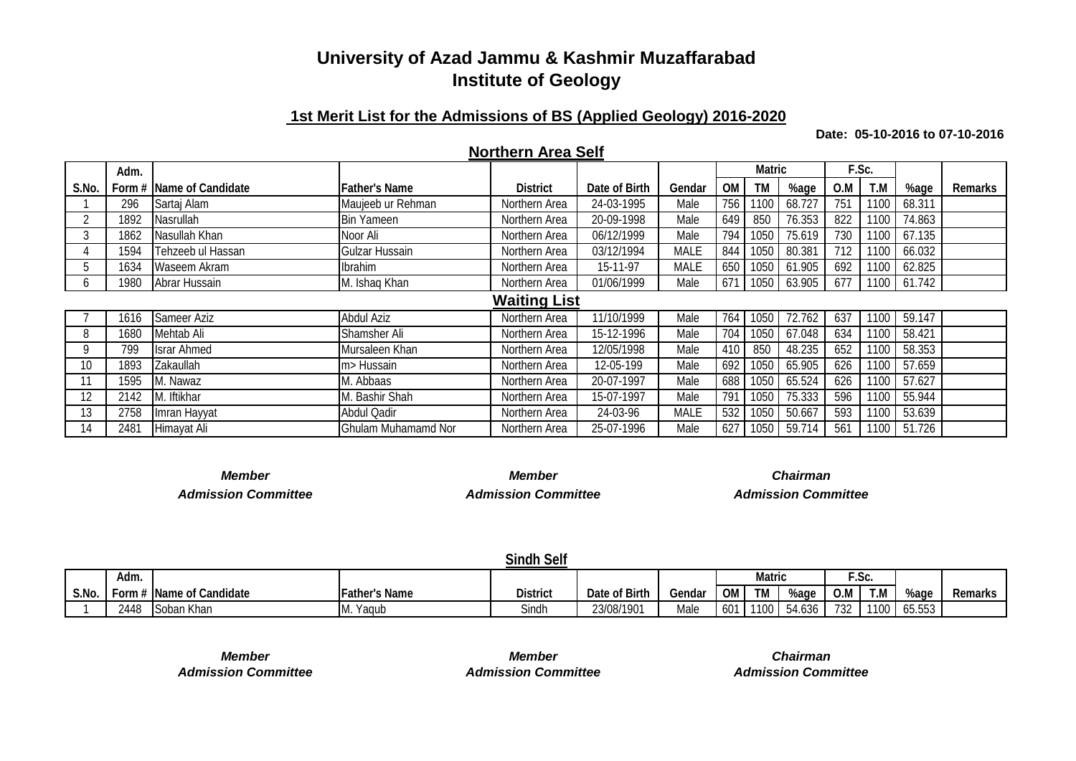#### **1st Merit List for the Admissions of BS (Applied Geology) 2016-2020**

**Date: 05-10-2016 to 07-10-2016**

#### **Northern Area Self**

|       | Adm. |                          |                       |                     |               |             |           | <b>Matric</b> |        |                 | F.Sc. |        |                |
|-------|------|--------------------------|-----------------------|---------------------|---------------|-------------|-----------|---------------|--------|-----------------|-------|--------|----------------|
| S.No. |      | Form # Name of Candidate | <b>Father's Name</b>  | <b>District</b>     | Date of Birth | Gendar      | <b>OM</b> | <b>TM</b>     | %age   | O.M             | T.M   | %age   | <b>Remarks</b> |
|       | 296  | Sartai Alam              | Maujeeb ur Rehman     | Northern Area       | 24-03-1995    | Male        | 756       | 1100          | 68.727 | 75 <sup>′</sup> | 1100  | 68.311 |                |
|       | 1892 | Nasrullah                | <b>Bin Yameen</b>     | Northern Area       | 20-09-1998    | Male        | 649       | 850           | 76.353 | 822             | 1100  | 74.863 |                |
|       | 1862 | Nasullah Khan            | Noor Ali              | Northern Area       | 06/12/1999    | Male        | 794 I     | 1050          | 75.619 | 730             | 1100  | 67.135 |                |
|       | 1594 | Tehzeeb ul Hassan        | <b>Gulzar Hussain</b> | Northern Area       | 03/12/1994    | <b>MALE</b> | 844       | 1050          | 80.381 | 712             | 1100  | 66.032 |                |
| .b    | 1634 | Waseem Akram             | Ibrahim               | Northern Area       | 15-11-97      | MALE        | 650 l     | 1050          | 61.905 | 692             | 1100  | 62.825 |                |
| O.    | 1980 | Abrar Hussain            | M. Ishaq Khan         | Northern Area       | 01/06/1999    | Male        | 671       | 1050          | 63.905 | 677             | 1100  | 61.742 |                |
|       |      |                          |                       | <b>Waiting List</b> |               |             |           |               |        |                 |       |        |                |
|       | 1616 | Sameer Aziz              | <b>Abdul Aziz</b>     | Northern Area       | 11/10/1999    | Male        | 764       | 1050          | 72.762 | 637             | 1100  | 59.147 |                |
| 8     | 1680 | Mehtab Ali               | Shamsher Ali          | Northern Area       | 15-12-1996    | Male        | 704 l     | 1050          | 67.048 | 634             | 1100  | 58.421 |                |
| Q     | 799  | <b>Israr Ahmed</b>       | Mursaleen Khan        | Northern Area       | 12/05/1998    | Male        | 410       | 850           | 48.235 | 652             | 1100  | 58.353 |                |
| 10    | 1893 | Zakaullah                | m> Hussain            | Northern Area       | 12-05-199     | Male        | 692       | 1050          | 65.905 | 626             | 1100  | 57.659 |                |
|       | 1595 | M. Nawaz                 | M. Abbaas             | Northern Area       | 20-07-1997    | Male        | 688       | 1050          | 65.524 | 626             | 1100  | 57.627 |                |
| 12    | 2142 | M. Iftikhar              | M. Bashir Shah        | Northern Area       | 15-07-1997    | Male        | 791       | 1050          | 75.333 | 596             | 1100  | 55.944 |                |
| 13    | 2758 | Imran Hayyat             | <b>Abdul Qadir</b>    | Northern Area       | 24-03-96      | MALE        | 532       | 1050          | 50.667 | 593             | 1100  | 53.639 |                |
| 14    | 2481 | Himayat Ali              | Ghulam Muhamamd Nor   | Northern Area       | 25-07-1996    | Male        | 627       | 1050          | 59.714 | 561             | 1100  | 51.726 |                |

*Member Member Chairman Admission Committee Admission Committee Admission Committee*

|       |        |                                |                      | <b>Sindh Self</b> |               |        |           |           |        |     |               |        |         |
|-------|--------|--------------------------------|----------------------|-------------------|---------------|--------|-----------|-----------|--------|-----|---------------|--------|---------|
|       | Adm.   |                                |                      |                   |               |        |           | Matric    |        |     | ີເ^<br>. باك. |        |         |
| S.No. | Form # | <sup>*</sup> Name of Candidate | <b>Father's Name</b> | <b>District</b>   | Date of Birth | Gendar | <b>OM</b> | <b>TM</b> | %age   | O.M | T.M           | %age   | Remarks |
|       | 2448   | Soban Khan                     | IM.<br>Yagub         | Sindh             | 23/08/1901    | Male   | 601       | 1100      | 54.636 | 732 | 1100          | 65.553 |         |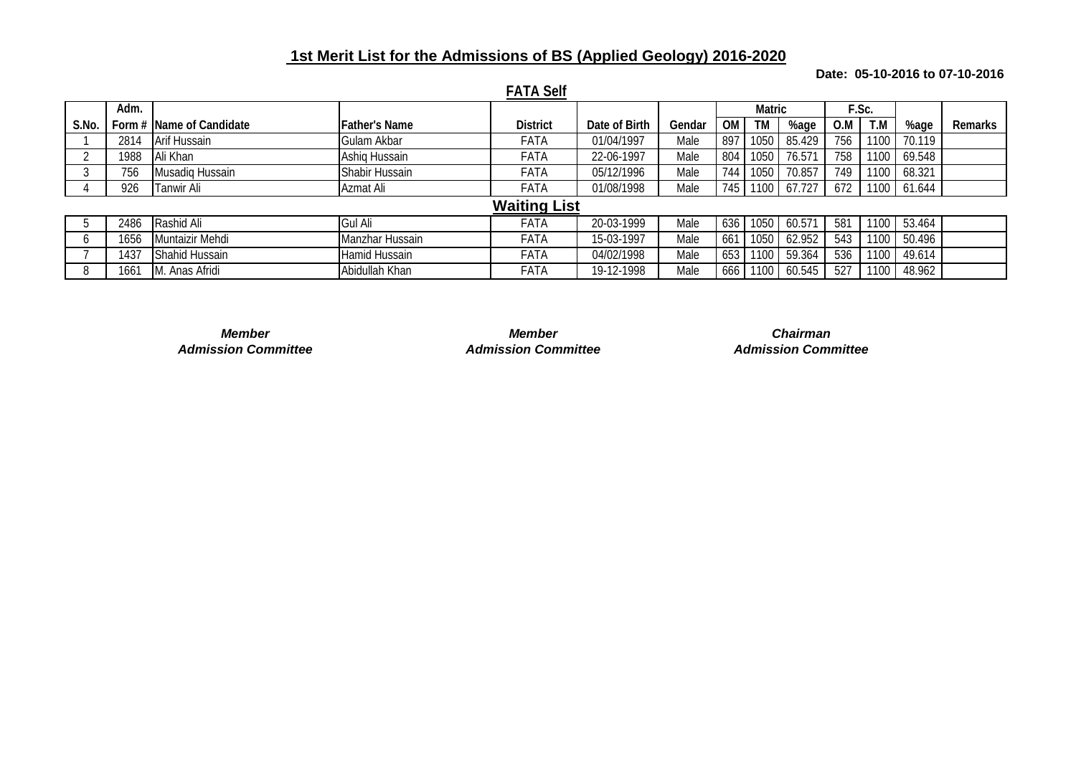## **1st Merit List for the Admissions of BS (Applied Geology) 2016-2020**

#### **Date: 05-10-2016 to 07-10-2016**

|       |      |                          |                      | <b>FATA Self</b>    |               |        |     |                   |        |     |       |        |         |
|-------|------|--------------------------|----------------------|---------------------|---------------|--------|-----|-------------------|--------|-----|-------|--------|---------|
|       | Adm. |                          |                      |                     |               |        |     | <b>Matric</b>     |        |     | F.Sc. |        |         |
| S.No. |      | Form # Name of Candidate | <b>Father's Name</b> | <b>District</b>     | Date of Birth | Gendar | OМ  | <b>TM</b>         | %age   | 0.M | T.M   | %age   | Remarks |
|       | 2814 | Arif Hussain             | Gulam Akbar          | FATA                | 01/04/1997    | Male   | 897 | 1050              | 85.429 | 756 | 1100  | 70.119 |         |
|       | 1988 | Ali Khan                 | Ashig Hussain        | FATA                | 22-06-1997    | Male   | 804 | 1050              | 76.571 | 758 | 1100  | 69.548 |         |
|       | 756  | Musadiq Hussain          | Shabir Hussain       | FATA                | 05/12/1996    | Male   | 744 | 1050              | 70.857 | 749 | 1100  | 68.321 |         |
|       | 926  | <b>Tanwir Ali</b>        | Azmat Ali            | <b>FATA</b>         | 01/08/1998    | Male   | 745 | 1100 <sub>1</sub> | 67.727 | 672 | 1100  | 61.644 |         |
|       |      |                          |                      | <b>Waiting List</b> |               |        |     |                   |        |     |       |        |         |
|       | 2486 | Rashid Ali               | Gul Ali              | FATA                | 20-03-1999    | Male   | 636 | 1050              | 60.571 | 581 | 1100  | 53.464 |         |
|       | 1656 | Muntaizir Mehdi          | Manzhar Hussain      | FATA                | 15-03-1997    | Male   | 661 | 1050              | 62.952 | 543 | 1100  | 50.496 |         |
|       | 1437 | Shahid Hussain           | Hamid Hussain        | FATA                | 04/02/1998    | Male   | 653 | 100               | 59.364 | 536 | 1100  | 49.614 |         |
|       | 1661 | M. Anas Afridi           | Abidullah Khan       | FATA                | 19-12-1998    | Male   | 666 | 100               | 60.545 | 527 | 1100  | 48.962 |         |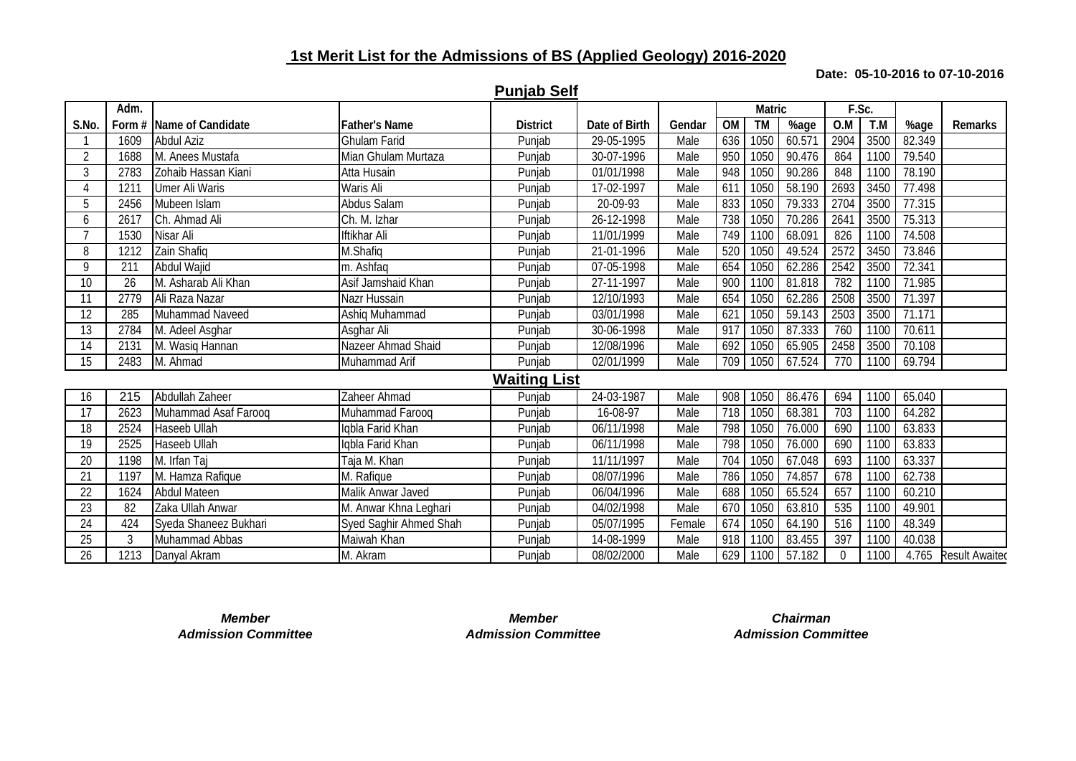## **1st Merit List for the Admissions of BS (Applied Geology) 2016-2020**

#### **Date: 05-10-2016 to 07-10-2016**

|                 | Adm. |                          |                        |                     |               |        |           | <b>Matric</b> |        | F.Sc.    |      |        |                      |
|-----------------|------|--------------------------|------------------------|---------------------|---------------|--------|-----------|---------------|--------|----------|------|--------|----------------------|
| S.No.           |      | Form # Name of Candidate | <b>Father's Name</b>   | <b>District</b>     | Date of Birth | Gendar | <b>OM</b> | <b>TM</b>     | %age   | O.M      | T.M  | %age   | Remarks              |
|                 | 1609 | <b>Abdul Aziz</b>        | <b>Ghulam Farid</b>    | Punjab              | 29-05-1995    | Male   | 636       | 1050          | 60.571 | 2904     | 3500 | 82.349 |                      |
| $\overline{2}$  | 1688 | M. Anees Mustafa         | Mian Ghulam Murtaza    | Punjab              | 30-07-1996    | Male   | 950       | 1050          | 90.476 | 864      | 1100 | 79.540 |                      |
| 3               | 2783 | Zohaib Hassan Kiani      | Atta Husain            | Punjab              | 01/01/1998    | Male   | 948       | 1050          | 90.286 | 848      | 1100 | 78.190 |                      |
| 4               | 1211 | <b>Umer Ali Waris</b>    | Waris Ali              | Punjab              | 17-02-1997    | Male   | 611       | 1050          | 58.190 | 2693     | 3450 | 77.498 |                      |
| 5               | 2456 | Mubeen Islam             | Abdus Salam            | Punjab              | 20-09-93      | Male   | 833       | 1050          | 79.333 | 2704     | 3500 | 77.315 |                      |
| 6               | 2617 | Ch. Ahmad Ali            | Ch. M. Izhar           | Punjab              | 26-12-1998    | Male   | 738       | 1050          | 70.286 | 2641     | 3500 | 75.313 |                      |
|                 | 1530 | Nisar Ali                | Iftikhar Ali           | Punjab              | 11/01/1999    | Male   | 749       | 1100          | 68.091 | 826      | 1100 | 74.508 |                      |
| 8               | 1212 | Zain Shafiq              | M.Shafiq               | Punjab              | 21-01-1996    | Male   | 520       | 1050          | 49.524 | 2572     | 3450 | 73.846 |                      |
| 9               | 211  | Abdul Wajid              | m. Ashfaq              | Punjab              | 07-05-1998    | Male   | 654       | 1050          | 62.286 | 2542     | 3500 | 72.341 |                      |
| 10              | 26   | M. Asharab Ali Khan      | Asif Jamshaid Khan     | Punjab              | 27-11-1997    | Male   | 900       | 1100          | 81.818 | 782      | 1100 | 71.985 |                      |
| 11              | 2779 | Ali Raza Nazar           | Nazr Hussain           | Punjab              | 12/10/1993    | Male   | 654       | 1050          | 62.286 | 2508     | 3500 | 71.397 |                      |
| 12              | 285  | Muhammad Naveed          | Ashiq Muhammad         | Punjab              | 03/01/1998    | Male   | 621       | 1050          | 59.143 | 2503     | 3500 | 71.171 |                      |
| 13              | 2784 | M. Adeel Asghar          | Asghar Ali             | Punjab              | 30-06-1998    | Male   | 917       | 1050          | 87.333 | 760      | 1100 | 70.611 |                      |
| 14              | 2131 | M. Wasig Hannan          | Nazeer Ahmad Shaid     | Punjab              | 12/08/1996    | Male   | 692       | 1050          | 65.905 | 2458     | 3500 | 70.108 |                      |
| 15              | 2483 | M. Ahmad                 | Muhammad Arif          | Punjab              | 02/01/1999    | Male   | 709       | 1050          | 67.524 | 770      | 1100 | 69.794 |                      |
|                 |      |                          |                        | <b>Waiting List</b> |               |        |           |               |        |          |      |        |                      |
| 16              | 215  | Abdullah Zaheer          | Zaheer Ahmad           | Punjab              | 24-03-1987    | Male   | 908       | 1050          | 86.476 | 694      | 1100 | 65.040 |                      |
| 17              | 2623 | Muhammad Asaf Faroog     | Muhammad Faroog        | Punjab              | 16-08-97      | Male   | 718       | 1050          | 68.381 | 703      | 1100 | 64.282 |                      |
| 18              | 2524 | Haseeb Ullah             | Igbla Farid Khan       | Punjab              | 06/11/1998    | Male   | 798       | 1050          | 76.000 | 690      | 1100 | 63.833 |                      |
| 19              | 2525 | Haseeb Ullah             | Igbla Farid Khan       | Punjab              | 06/11/1998    | Male   | 798       | 1050          | 76.000 | 690      | 1100 | 63.833 |                      |
| 20              | 1198 | M. Irfan Taj             | Taja M. Khan           | Punjab              | 11/11/1997    | Male   | 704       | 1050          | 67.048 | 693      | 1100 | 63.337 |                      |
| 21              | 1197 | M. Hamza Rafique         | M. Rafique             | Punjab              | 08/07/1996    | Male   | 786       | 1050          | 74.857 | 678      | 1100 | 62.738 |                      |
| 22              | 1624 | <b>Abdul Mateen</b>      | Malik Anwar Javed      | Punjab              | 06/04/1996    | Male   | 688       | 1050          | 65.524 | 657      | 1100 | 60.210 |                      |
| $\overline{23}$ | 82   | Zaka Ullah Anwar         | M. Anwar Khna Leghari  | Punjab              | 04/02/1998    | Male   | 670       | 1050          | 63.810 | 535      | 1100 | 49.901 |                      |
| 24              | 424  | Syeda Shaneez Bukhari    | Syed Saghir Ahmed Shah | Punjab              | 05/07/1995    | Female | 674       | 1050          | 64.190 | 516      | 1100 | 48.349 |                      |
| 25              | 3    | Muhammad Abbas           | Maiwah Khan            | Punjab              | 14-08-1999    | Male   | 918       | 1100          | 83.455 | 397      | 1100 | 40.038 |                      |
| 26              | 1213 | Danyal Akram             | M. Akram               | Punjab              | 08/02/2000    | Male   | 629       | 1100          | 57.182 | $\Omega$ | 1100 |        | 4.765 Result Awaited |

**Punjab Self**

*Admission Committee Admission Committee Admission Committee*

*Member Member Chairman*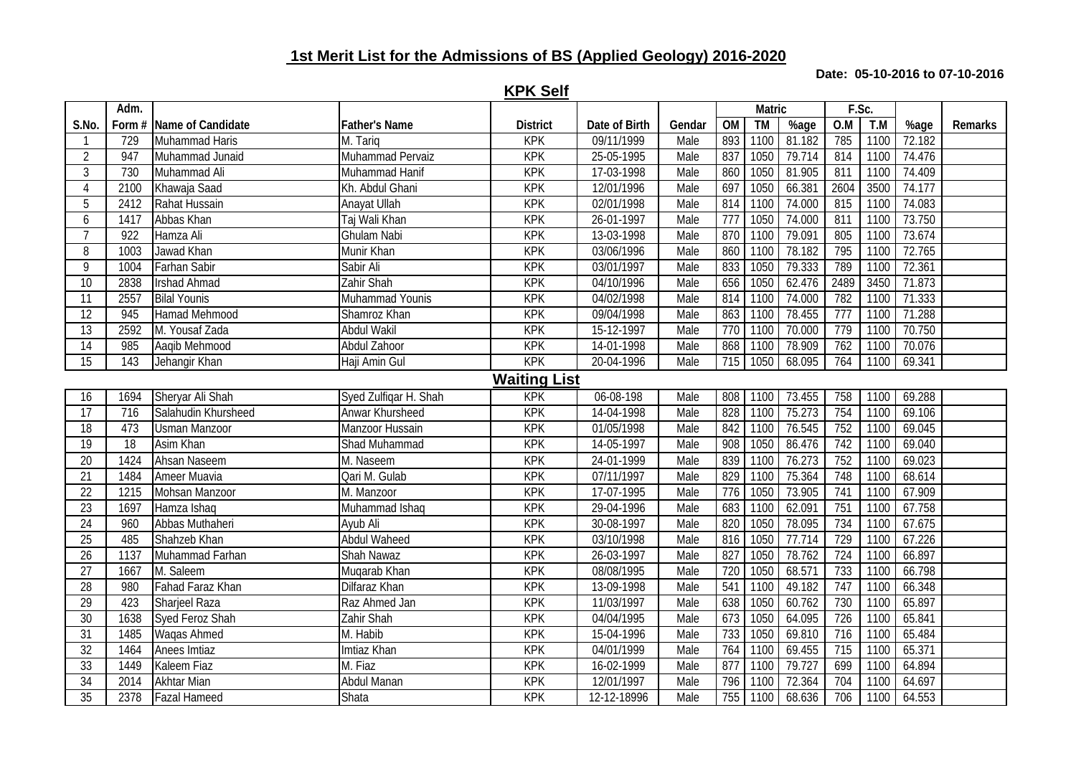# **1st Merit List for the Admissions of BS (Applied Geology) 2016-2020**

#### **Date: 05-10-2016 to 07-10-2016**

|                 | Adm. |                          |                       |                     |               |        |                 | <b>Matric</b> |        | F.Sc. |      |        |         |
|-----------------|------|--------------------------|-----------------------|---------------------|---------------|--------|-----------------|---------------|--------|-------|------|--------|---------|
| S.No.           |      | Form # Name of Candidate | <b>Father's Name</b>  | <b>District</b>     | Date of Birth | Gendar | $\overline{OM}$ | <b>TM</b>     | %age   | O.M   | T.M  | %age   | Remarks |
|                 | 729  | Muhammad Haris           | M. Tarig              | KPK                 | 09/11/1999    | Male   | 893             | 1100          | 81.182 | 785   | 1100 | 72.182 |         |
| $\overline{2}$  | 947  | Muhammad Junaid          | Muhammad Pervaiz      | <b>KPK</b>          | 25-05-1995    | Male   | 837             | 1050          | 79.714 | 814   | 1100 | 74.476 |         |
| $\overline{3}$  | 730  | Muhammad Ali             | Muhammad Hanif        | <b>KPK</b>          | 17-03-1998    | Male   | 860             | 1050          | 81.905 | 811   | 1100 | 74.409 |         |
| $\overline{4}$  | 2100 | Khawaja Saad             | Kh. Abdul Ghani       | <b>KPK</b>          | 12/01/1996    | Male   | 697             | 1050          | 66.381 | 2604  | 3500 | 74.177 |         |
| 5               | 2412 | Rahat Hussain            | Anayat Ullah          | <b>KPK</b>          | 02/01/1998    | Male   | 814             | 1100          | 74.000 | 815   | 1100 | 74.083 |         |
| 6               | 1417 | Abbas Khan               | Taj Wali Khan         | <b>KPK</b>          | 26-01-1997    | Male   | 777             | 1050          | 74.000 | 811   | 1100 | 73.750 |         |
| $\overline{7}$  | 922  | Hamza Ali                | <b>Ghulam Nabi</b>    | <b>KPK</b>          | 13-03-1998    | Male   | 870             | 1100          | 79.091 | 805   | 1100 | 73.674 |         |
| 8               | 1003 | Jawad Khan               | Munir Khan            | <b>KPK</b>          | 03/06/1996    | Male   | 860             | 1100          | 78.182 | 795   | 1100 | 72.765 |         |
| $\overline{9}$  | 1004 | Farhan Sabir             | Sabir Ali             | <b>KPK</b>          | 03/01/1997    | Male   | 833             | 1050          | 79.333 | 789   | 1100 | 72.361 |         |
| $\overline{10}$ | 2838 | <b>Irshad Ahmad</b>      | Zahir Shah            | <b>KPK</b>          | 04/10/1996    | Male   | 656             | 1050          | 62.476 | 2489  | 3450 | 71.873 |         |
| 11              | 2557 | <b>Bilal Younis</b>      | Muhammad Younis       | <b>KPK</b>          | 04/02/1998    | Male   | 814             | 1100          | 74.000 | 782   | 1100 | 71.333 |         |
| $\overline{12}$ | 945  | Hamad Mehmood            | Shamroz Khan          | <b>KPK</b>          | 09/04/1998    | Male   | 863             | 1100          | 78.455 | 777   | 1100 | 71.288 |         |
| 13              | 2592 | M. Yousaf Zada           | <b>Abdul Wakil</b>    | <b>KPK</b>          | 15-12-1997    | Male   | 770             | 1100          | 70.000 | 779   | 1100 | 70.750 |         |
| 14              | 985  | Aaqib Mehmood            | <b>Abdul Zahoor</b>   | <b>KPK</b>          | 14-01-1998    | Male   | 868             | 1100          | 78.909 | 762   | 1100 | 70.076 |         |
| 15              | 143  | Jehangir Khan            | Haji Amin Gul         | <b>KPK</b>          | 20-04-1996    | Male   | 715             | 1050          | 68.095 | 764   | 1100 | 69.341 |         |
|                 |      |                          |                       | <b>Waiting List</b> |               |        |                 |               |        |       |      |        |         |
| 16              | 1694 | Sheryar Ali Shah         | Syed Zulfiqar H. Shah | <b>KPK</b>          | 06-08-198     | Male   | 808             | 1100          | 73.455 | 758   | 1100 | 69.288 |         |
| $\overline{17}$ | 716  | Salahudin Khursheed      | Anwar Khursheed       | <b>KPK</b>          | 14-04-1998    | Male   | 828             | 1100          | 75.273 | 754   | 1100 | 69.106 |         |
| $\overline{18}$ | 473  | <b>Usman Manzoor</b>     | Manzoor Hussain       | <b>KPK</b>          | 01/05/1998    | Male   | 842             | 1100          | 76.545 | 752   | 1100 | 69.045 |         |
| 19              | 18   | <b>Asim Khan</b>         | <b>Shad Muhammad</b>  | <b>KPK</b>          | 14-05-1997    | Male   | 908             | 1050          | 86.476 | 742   | 1100 | 69.040 |         |
| $\overline{20}$ | 1424 | Ahsan Naseem             | M. Naseem             | <b>KPK</b>          | 24-01-1999    | Male   | 839             | 1100          | 76.273 | 752   | 1100 | 69.023 |         |
| 21              | 1484 | <b>Ameer Muavia</b>      | Qari M. Gulab         | KPK                 | 07/11/1997    | Male   | 829             | 1100          | 75.364 | 748   | 1100 | 68.614 |         |
| 22              | 1215 | Mohsan Manzoor           | M. Manzoor            | <b>KPK</b>          | 17-07-1995    | Male   | 776             | 1050          | 73.905 | 741   | 1100 | 67.909 |         |
| 23              | 1697 | Hamza Ishaq              | Muhammad Ishaq        | <b>KPK</b>          | 29-04-1996    | Male   | 683             | 1100          | 62.091 | 751   | 1100 | 67.758 |         |
| $\overline{24}$ | 960  | Abbas Muthaheri          | Ayub Ali              | <b>KPK</b>          | 30-08-1997    | Male   | 820             | 1050          | 78.095 | 734   | 1100 | 67.675 |         |
| 25              | 485  | Shahzeb Khan             | <b>Abdul Waheed</b>   | <b>KPK</b>          | 03/10/1998    | Male   | 816             | 1050          | 77.714 | 729   | 1100 | 67.226 |         |
| 26              | 1137 | Muhammad Farhan          | <b>Shah Nawaz</b>     | <b>KPK</b>          | 26-03-1997    | Male   | 827             | 1050          | 78.762 | 724   | 1100 | 66.897 |         |
| 27              | 1667 | M. Saleem                | Muqarab Khan          | <b>KPK</b>          | 08/08/1995    | Male   | 720             | 1050          | 68.571 | 733   | 1100 | 66.798 |         |
| $\overline{28}$ | 980  | <b>Fahad Faraz Khan</b>  | <b>Dilfaraz Khan</b>  | <b>KPK</b>          | 13-09-1998    | Male   | 541             | 1100          | 49.182 | 747   | 1100 | 66.348 |         |
| 29              | 423  | <b>Sharjeel Raza</b>     | Raz Ahmed Jan         | <b>KPK</b>          | 11/03/1997    | Male   | 638             | 1050          | 60.762 | 730   | 1100 | 65.897 |         |
| 30              | 1638 | <b>Syed Feroz Shah</b>   | Zahir Shah            | <b>KPK</b>          | 04/04/1995    | Male   | 673             | 1050          | 64.095 | 726   | 1100 | 65.841 |         |
| 31              | 1485 | Waqas Ahmed              | M. Habib              | <b>KPK</b>          | 15-04-1996    | Male   | 733             | 1050          | 69.810 | 716   | 1100 | 65.484 |         |
| 32              | 1464 | Anees Imtiaz             | Imtiaz Khan           | <b>KPK</b>          | 04/01/1999    | Male   | 764             | 1100          | 69.455 | 715   | 1100 | 65.371 |         |
| 33              | 1449 | Kaleem Fiaz              | M. Fiaz               | <b>KPK</b>          | 16-02-1999    | Male   | 877             | 1100          | 79.727 | 699   | 1100 | 64.894 |         |
| 34              | 2014 | <b>Akhtar Mian</b>       | Abdul Manan           | <b>KPK</b>          | 12/01/1997    | Male   | 796             | 1100          | 72.364 | 704   | 1100 | 64.697 |         |
| 35              | 2378 | <b>Fazal Hameed</b>      | Shata                 | <b>KPK</b>          | 12-12-18996   | Male   | 755             | 1100          | 68.636 | 706   | 1100 | 64.553 |         |

**KPK Self**